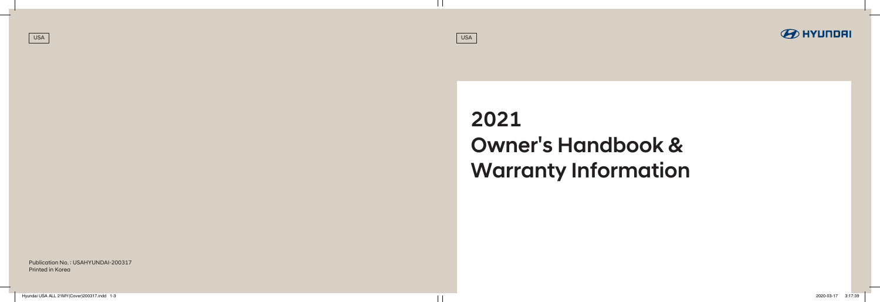2021 Owner's Handbook & Warranty Information

Publication No. : USAHYUNDAI-200317 Printed in Korea

USA USA

Hyundai USA ALL 21MY(Cover)200317.indd 1-3 2020-03-17 3:17:39

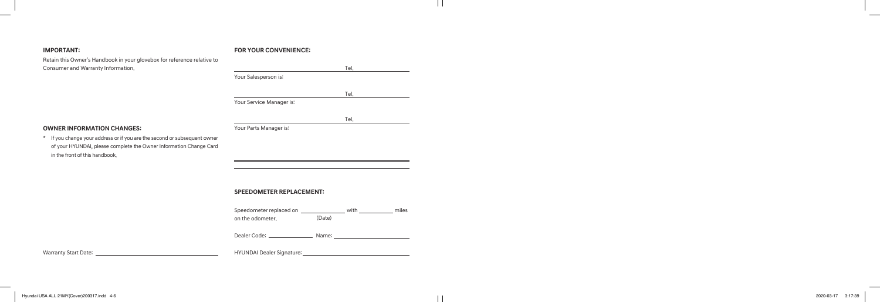# **IMPORTANT:**

Retain this Owner's Handbook in your glovebox for reference relative to Consumer and Warranty Information.

**OWNER INFORMATION CHANGES:**

\* If you change your address or if you are the second or subsequent owner of your HYUNDAI, please complete the Owner Information Change Card

in the front of this handbook.

### **FOR YOUR CONVENIENCE:**

|                                                                     |        | Tel. |  |
|---------------------------------------------------------------------|--------|------|--|
| Your Salesperson is:                                                |        |      |  |
|                                                                     |        | Tel. |  |
| Your Service Manager is:                                            |        |      |  |
|                                                                     |        | Tel. |  |
| Your Parts Manager is:                                              |        |      |  |
|                                                                     |        |      |  |
|                                                                     |        |      |  |
|                                                                     |        |      |  |
|                                                                     |        |      |  |
| <b>SPEEDOMETER REPLACEMENT:</b>                                     |        |      |  |
| Speedometer replaced on __________________ with _____________ miles |        |      |  |
| on the odometer.                                                    | (Date) |      |  |

Dealer Code: Name:

Warranty Start Date:

HYUNDAI Dealer Signature:

 $\perp$ 

 $\overline{\phantom{a}}$ 

 $\overline{\phantom{a}}$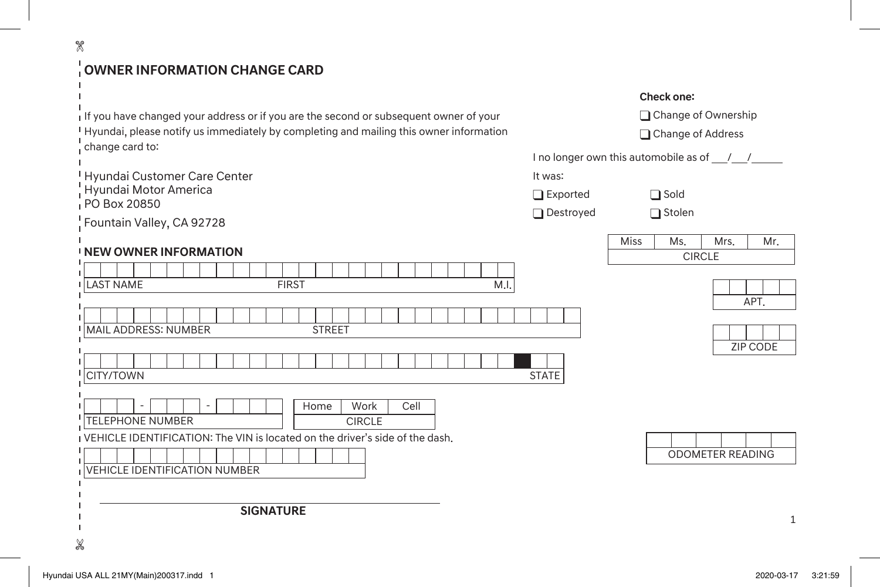# **OWNER INFORMATION CHANGE CARD**

| If you have changed your address or if you are the second or subsequent owner of your    |
|------------------------------------------------------------------------------------------|
| I Hyundai, please notify us immediately by completing and mailing this owner information |
| : change card to:                                                                        |

Hyundai Customer Care Center Hyundai Motor America PO Box 20850

Fountain Valley, CA 92728

 $\mathscr{R}$ 

 $\mathbf{I}$  $\mathbf{I}$ k.

 $\blacksquare$ 

### **NEW OWNER INFORMATION**

| .                                                                                                                                                                              | <b>UIRULE</b>    |
|--------------------------------------------------------------------------------------------------------------------------------------------------------------------------------|------------------|
| M.I.<br><b>I LAST NAME</b><br><b>FIRST</b>                                                                                                                                     |                  |
| <sup>I</sup> MAIL ADDRESS: NUMBER<br><b>STREET</b>                                                                                                                             | APT.             |
| <b>CITY/TOWN</b><br><b>STATE</b>                                                                                                                                               | <b>ZIP CODE</b>  |
| Cell<br>Work<br>Home<br>$\overline{\phantom{a}}$<br><b>TELEPHONE NUMBER</b><br><b>CIRCLE</b><br>I VEHICLE IDENTIFICATION: The VIN is located on the driver's side of the dash. |                  |
| IVEHICLE IDENTIFICATION NUMBER                                                                                                                                                 | ODOMETER READING |
| <b>SIGNATURE</b><br>X                                                                                                                                                          | $\mathbf{1}$     |

### **Check one:**



Change of Address

I no longer own this automobile as of  $\frac{1}{\sqrt{2}}$ 

It was:

□Exported **Sold** Destroyed **Stolen** 

| $\cdot$ Algebra |    | rc         | 4R.<br>٠. |
|-----------------|----|------------|-----------|
|                 | ۰, | 'r 1<br>`⊨ |           |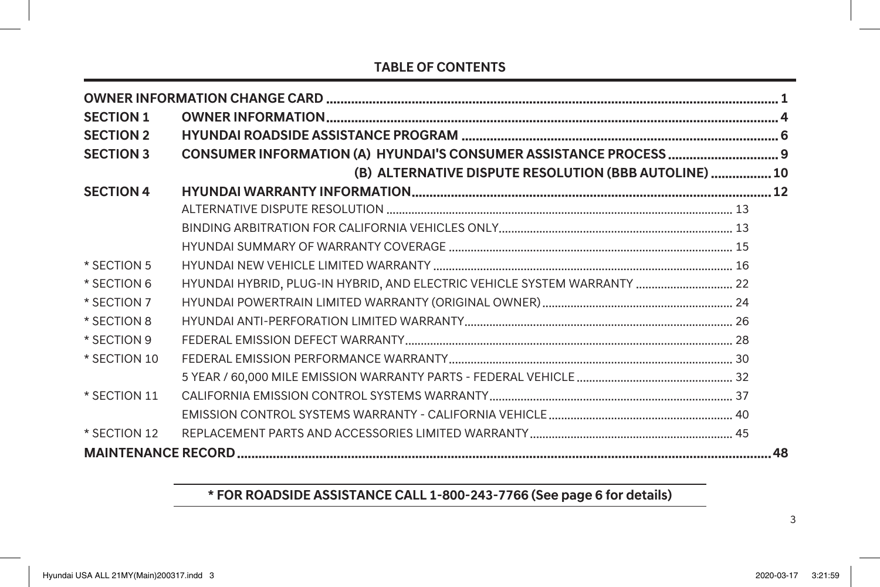# **TABLE OF CONTENTS**

| <b>SECTION 1</b> |                                                                          |    |
|------------------|--------------------------------------------------------------------------|----|
| <b>SECTION 2</b> |                                                                          |    |
| <b>SECTION 3</b> |                                                                          |    |
|                  | (B) ALTERNATIVE DISPUTE RESOLUTION (BBB AUTOLINE)  10                    |    |
| <b>SECTION 4</b> |                                                                          |    |
|                  |                                                                          |    |
|                  |                                                                          |    |
|                  |                                                                          |    |
| * SECTION 5      |                                                                          |    |
| * SECTION 6      | HYUNDAI HYBRID, PLUG-IN HYBRID, AND ELECTRIC VEHICLE SYSTEM WARRANTY  22 |    |
| * SECTION 7      |                                                                          |    |
| * SECTION 8      |                                                                          |    |
| * SECTION 9      |                                                                          |    |
| * SECTION 10     |                                                                          |    |
|                  |                                                                          |    |
| * SECTION 11     |                                                                          |    |
|                  |                                                                          |    |
| * SECTION 12     |                                                                          |    |
|                  |                                                                          | 48 |

# **\* FOR ROADSIDE ASSISTANCE CALL 1-800-243-7766 (See page 6 for details)**

3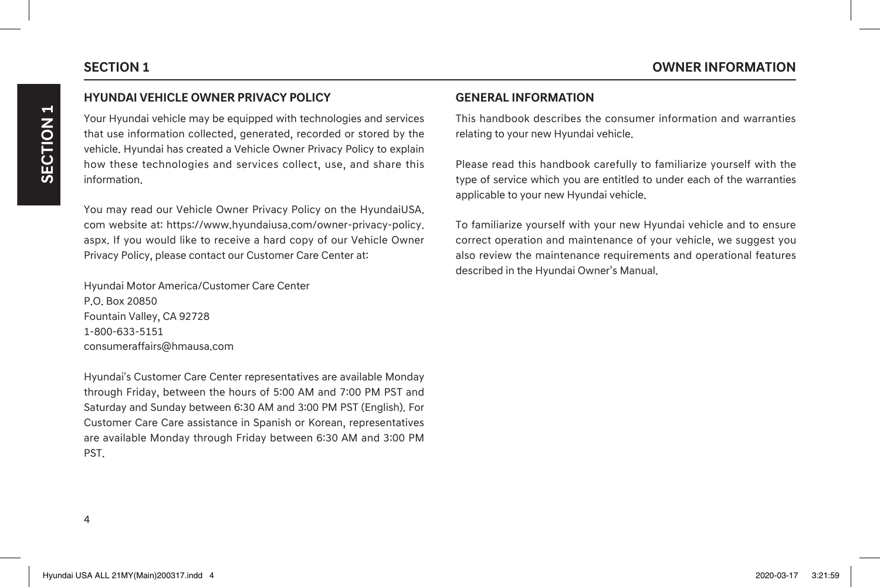# $\blacktriangleright$ **SECTION 1** SECTION

# **HYUNDAI VEHICLE OWNER PRIVACY POLICY**

Your Hyundai vehicle may be equipped with technologies and services that use information collected, generated, recorded or stored by the vehicle. Hyundai has created a Vehicle Owner Privacy Policy to explain how these technologies and services collect, use, and share this information.

You may read our Vehicle Owner Privacy Policy on the HyundaiUSA. com website at: https://www.hyundaiusa.com/owner-privacy-policy. aspx. If you would like to receive a hard copy of our Vehicle Owner Privacy Policy, please contact our Customer Care Center at:

Hyundai Motor America/Customer Care Center P.O. Box 20850 Fountain Valley, CA 92728 1-800-633-5151 consumeraffairs@hmausa.com

Hyundai's Customer Care Center representatives are available Monday through Friday, between the hours of 5:00 AM and 7:00 PM PST and Saturday and Sunday between 6:30 AM and 3:00 PM PST (English). For Customer Care Care assistance in Spanish or Korean, representatives are available Monday through Friday between 6:30 AM and 3:00 PM PST.

## **GENERAL INFORMATION**

This handbook describes the consumer information and warranties relating to your new Hyundai vehicle.

Please read this handbook carefully to familiarize yourself with the type of service which you are entitled to under each of the warranties applicable to your new Hyundai vehicle.

To familiarize yourself with your new Hyundai vehicle and to ensure correct operation and maintenance of your vehicle, we suggest you also review the maintenance requirements and operational features described in the Hyundai Owner's Manual.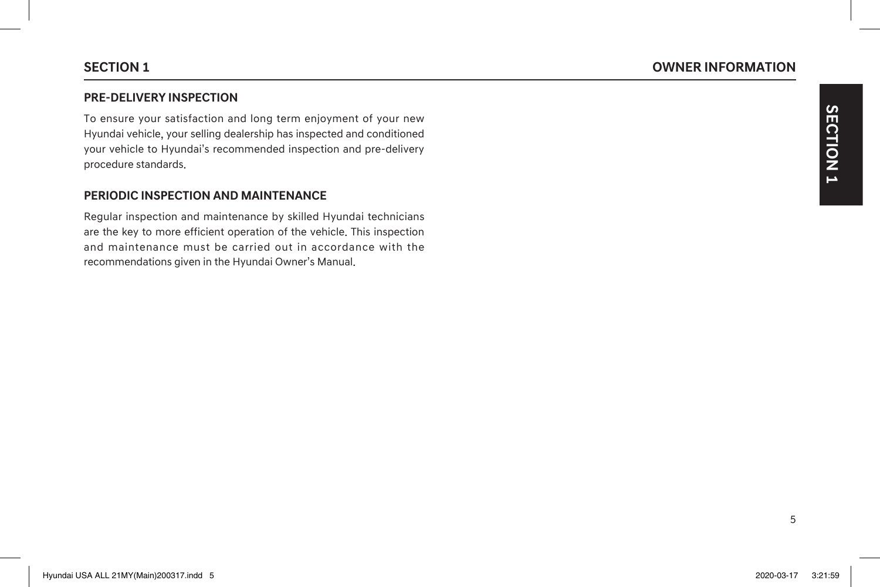### **PRE-DELIVERY INSPECTION**

To ensure your satisfaction and long term enjoyment of your new Hyundai vehicle, your selling dealership has inspected and conditioned your vehicle to Hyundai's recommended inspection and pre-delivery procedure standards.

## **PERIODIC INSPECTION AND MAINTENANCE**

Regular inspection and maintenance by skilled Hyundai technicians are the key to more efficient operation of the vehicle. This inspection and maintenance must be carried out in accordance with the recommendations given in the Hyundai Owner's Manual.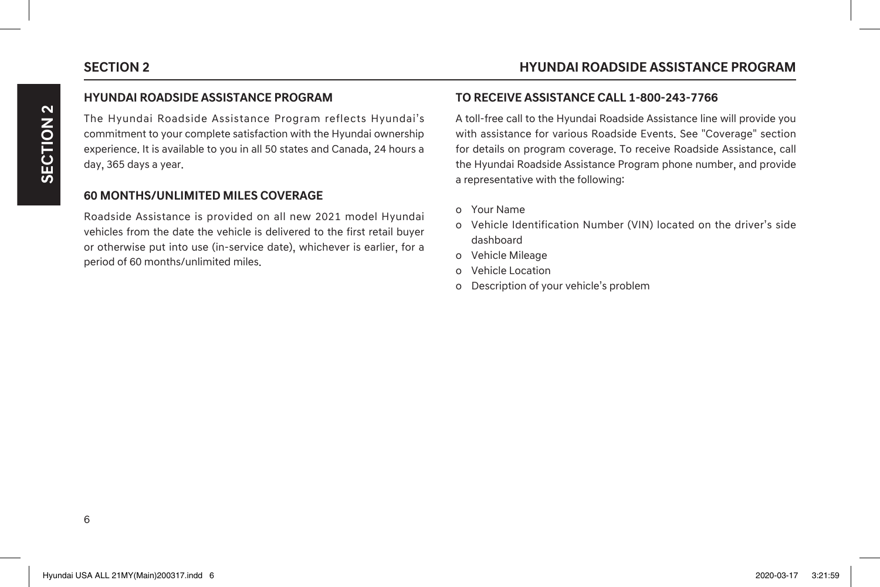### **HYUNDAI ROADSIDE ASSISTANCE PROGRAM**

The Hyundai Roadside Assistance Program reflects Hyundai's commitment to your complete satisfaction with the Hyundai ownership experience. It is available to you in all 50 states and Canada, 24 hours a day, 365 days a year.

# **60 MONTHS/UNLIMITED MILES COVERAGE**

Roadside Assistance is provided on all new 2021 model Hyundai vehicles from the date the vehicle is delivered to the first retail buyer or otherwise put into use (in-service date), whichever is earlier, for a period of 60 months/unlimited miles.

### **TO RECEIVE ASSISTANCE CALL 1-800-243-7766**

A toll-free call to the Hyundai Roadside Assistance line will provide you with assistance for various Roadside Events. See "Coverage" section for details on program coverage. To receive Roadside Assistance, call the Hyundai Roadside Assistance Program phone number, and provide a representative with the following:

- o Your Name
- o Vehicle Identification Number (VIN) located on the driver's side dashboard
- o Vehicle Mileage
- o Vehicle Location
- o Description of your vehicle's problem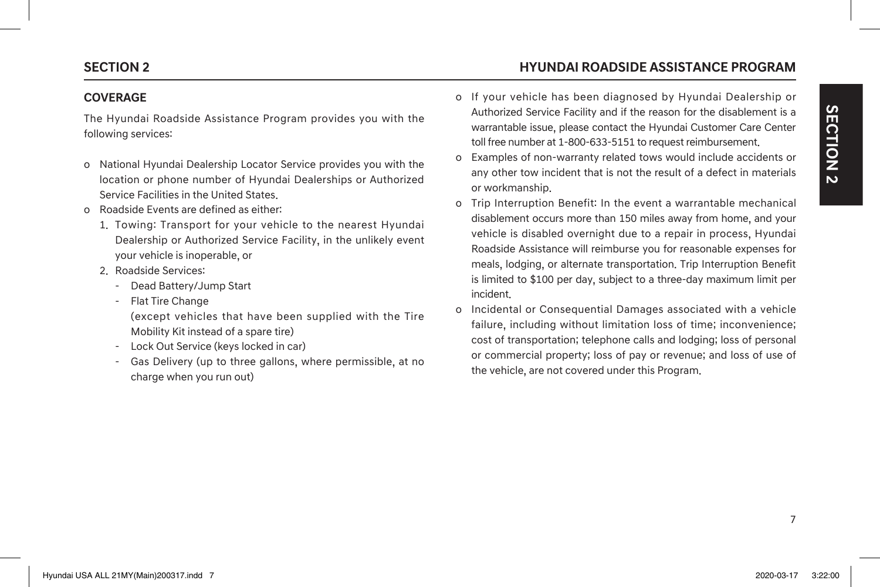### **SECTION 2 HYUNDAI ROADSIDE ASSISTANCE PROGRAM**

### **COVERAGE**

The Hyundai Roadside Assistance Program provides you with the following services:

- o National Hyundai Dealership Locator Service provides you with the location or phone number of Hyundai Dealerships or Authorized Service Facilities in the United States.
- o Roadside Events are defined as either:
	- 1. Towing: Transport for your vehicle to the nearest Hyundai Dealership or Authorized Service Facility, in the unlikely event your vehicle is inoperable, or
	- 2. Roadside Services:
		- Dead Battery/Jump Start
		- Flat Tire Change
		- (except vehicles that have been supplied with the Tire Mobility Kit instead of a spare tire)
		- Lock Out Service (keys locked in car)
		- Gas Delivery (up to three gallons, where permissible, at no charge when you run out)
- o If your vehicle has been diagnosed by Hyundai Dealership or Authorized Service Facility and if the reason for the disablement is a warrantable issue, please contact the Hyundai Customer Care Center toll free number at 1-800-633-5151 to request reimbursement.
- o Examples of non-warranty related tows would include accidents or any other tow incident that is not the result of a defect in materials or workmanship.
- o Trip Interruption Benefit: In the event a warrantable mechanical disablement occurs more than 150 miles away from home, and your vehicle is disabled overnight due to a repair in process, Hyundai Roadside Assistance will reimburse you for reasonable expenses for meals, lodging, or alternate transportation. Trip Interruption Benefit is limited to \$100 per day, subject to a three-day maximum limit per incident.
- o Incidental or Consequential Damages associated with a vehicle failure, including without limitation loss of time; inconvenience; cost of transportation; telephone calls and lodging; loss of personal or commercial property; loss of pay or revenue; and loss of use of the vehicle, are not covered under this Program.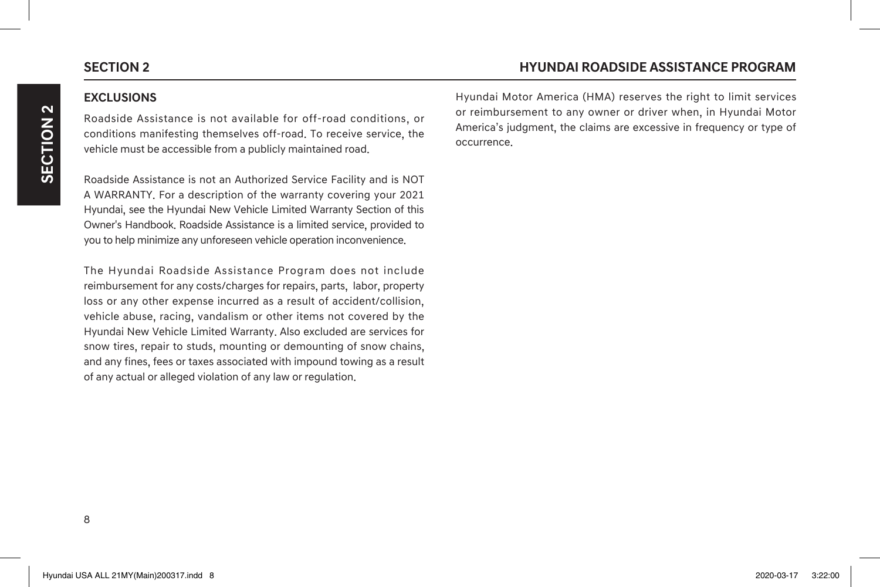### **EXCLUSIONS**

Roadside Assistance is not available for off-road conditions, or conditions manifesting themselves off-road. To receive service, the vehicle must be accessible from a publicly maintained road.

Roadside Assistance is not an Authorized Service Facility and is NOT A WARRANTY. For a description of the warranty covering your 2021 Hyundai, see the Hyundai New Vehicle Limited Warranty Section of this Owner's Handbook. Roadside Assistance is a limited service, provided to you to help minimize any unforeseen vehicle operation inconvenience.

The Hyundai Roadside Assistance Program does not include reimbursement for any costs/charges for repairs, parts, labor, property loss or any other expense incurred as a result of accident/collision, vehicle abuse, racing, vandalism or other items not covered by the Hyundai New Vehicle Limited Warranty. Also excluded are services for snow tires, repair to studs, mounting or demounting of snow chains, and any fines, fees or taxes associated with impound towing as a result of any actual or alleged violation of any law or regulation.

Hyundai Motor America (HMA) reserves the right to limit services or reimbursement to any owner or driver when, in Hyundai Motor America's judgment, the claims are excessive in frequency or type of occurrence.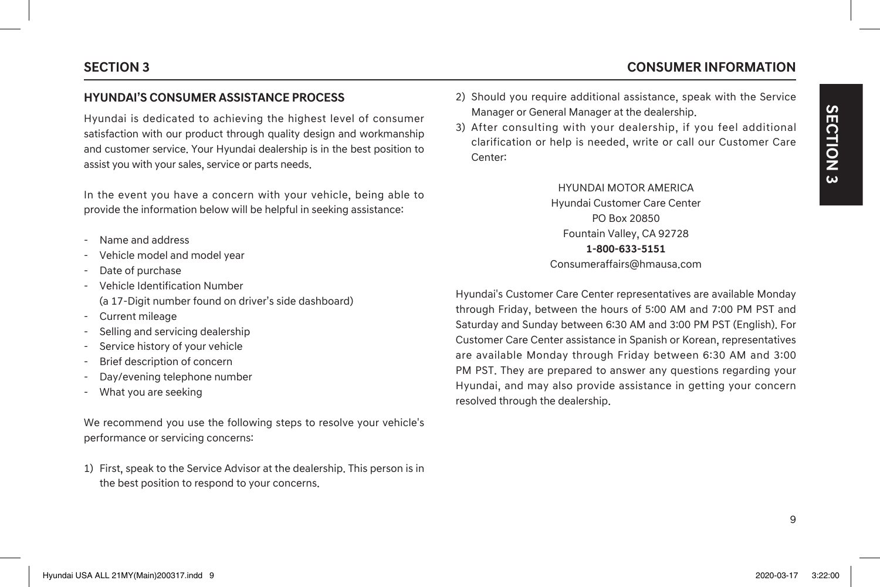### **HYUNDAI'S CONSUMER ASSISTANCE PROCESS**

Hyundai is dedicated to achieving the highest level of consumer satisfaction with our product through quality design and workmanship and customer service. Your Hyundai dealership is in the best position to assist you with your sales, service or parts needs.

In the event you have a concern with your vehicle, being able to provide the information below will be helpful in seeking assistance:

- Name and address
- Vehicle model and model year
- Date of purchase
- Vehicle Identification Number (a 17-Digit number found on driver's side dashboard)
- Current mileage
- Selling and servicing dealership
- Service history of your vehicle
- Brief description of concern
- Day/evening telephone number
- What you are seeking

We recommend you use the following steps to resolve your vehicle's performance or servicing concerns:

1) First, speak to the Service Advisor at the dealership. This person is in the best position to respond to your concerns.

- 2) Should you require additional assistance, speak with the Service Manager or General Manager at the dealership.
- 3) After consulting with your dealership, if you feel additional clarification or help is needed, write or call our Customer Care Center:

HYUNDAI MOTOR AMERICA Hyundai Customer Care Center PO Box 20850 Fountain Valley, CA 92728 **1-800-633-5151** Consumeraffairs@hmausa.com

Hyundai's Customer Care Center representatives are available Monday through Friday, between the hours of 5:00 AM and 7:00 PM PST and Saturday and Sunday between 6:30 AM and 3:00 PM PST (English). For Customer Care Center assistance in Spanish or Korean, representatives are available Monday through Friday between 6:30 AM and 3:00 PM PST. They are prepared to answer any questions regarding your Hyundai, and may also provide assistance in getting your concern resolved through the dealership.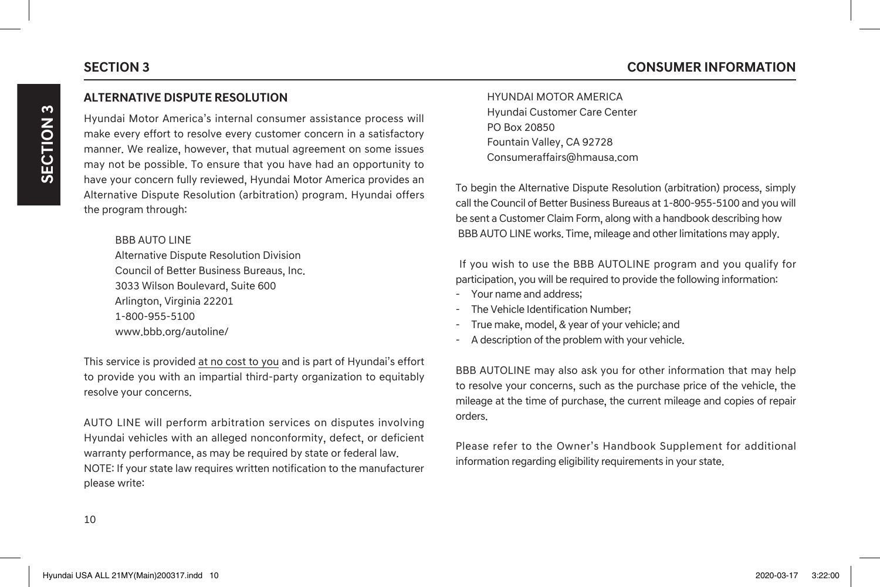# **SECTION 3 CONSUMER INFORMATION**

### **ALTERNATIVE DISPUTE RESOLUTION**

Hyundai Motor America's internal consumer assistance process will make every effort to resolve every customer concern in a satisfactory manner. We realize, however, that mutual agreement on some issues may not be possible. To ensure that you have had an opportunity to have your concern fully reviewed, Hyundai Motor America provides an Alternative Dispute Resolution (arbitration) program. Hyundai offers the program through:

BBB AUTO LINE Alternative Dispute Resolution Division Council of Better Business Bureaus, Inc. 3033 Wilson Boulevard, Suite 600 Arlington, Virginia 22201 1-800-955-5100 www.bbb.org/autoline/

This service is provided at no cost to you and is part of Hyundai's effort to provide you with an impartial third-party organization to equitably resolve your concerns.

AUTO LINE will perform arbitration services on disputes involving Hyundai vehicles with an alleged nonconformity, defect, or deficient warranty performance, as may be required by state or federal law. NOTE: If your state law requires written notification to the manufacturer please write:

HYUNDAI MOTOR AMERICA Hyundai Customer Care Center PO Box 20850 Fountain Valley, CA 92728 Consumeraffairs@hmausa.com

To begin the Alternative Dispute Resolution (arbitration) process, simply call the Council of Better Business Bureaus at 1-800-955-5100 and you will be sent a Customer Claim Form, along with a handbook describing how BBB AUTO LINE works. Time, mileage and other limitations may apply.

 If you wish to use the BBB AUTOLINE program and you qualify for participation, you will be required to provide the following information:

- Your name and address;
- The Vehicle Identification Number;
- True make, model, & year of your vehicle; and
- A description of the problem with your vehicle.

BBB AUTOLINE may also ask you for other information that may help to resolve your concerns, such as the purchase price of the vehicle, the mileage at the time of purchase, the current mileage and copies of repair orders.

Please refer to the Owner's Handbook Supplement for additional information regarding eligibility requirements in your state.

10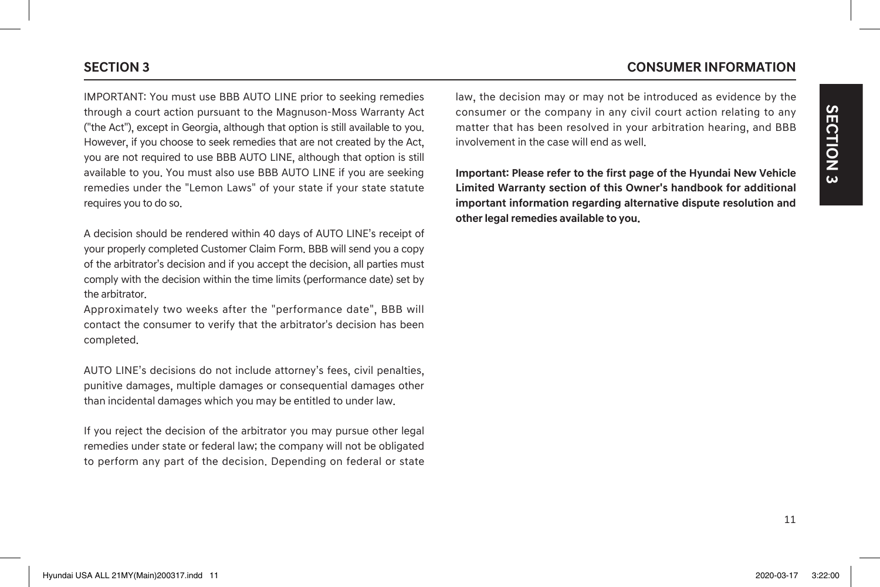# IMPORTANT: You must use BBB AUTO LINE prior to seeking remedies through a court action pursuant to the Magnuson-Moss Warranty Act ("the Act"), except in Georgia, although that option is still available to you. However, if you choose to seek remedies that are not created by the Act, you are not required to use BBB AUTO LINE, although that option is still available to you. You must also use BBB AUTO LINE if you are seeking remedies under the "Lemon Laws" of your state if your state statute requires you to do so.

A decision should be rendered within 40 days of AUTO LINE's receipt of your properly completed Customer Claim Form. BBB will send you a copy of the arbitrator's decision and if you accept the decision, all parties must comply with the decision within the time limits (performance date) set by the arbitrator.

Approximately two weeks after the "performance date", BBB will contact the consumer to verify that the arbitrator's decision has been completed.

AUTO LINE's decisions do not include attorney's fees, civil penalties, punitive damages, multiple damages or consequential damages other than incidental damages which you may be entitled to under law.

If you reject the decision of the arbitrator you may pursue other legal remedies under state or federal law; the company will not be obligated to perform any part of the decision. Depending on federal or state

# **SECTION 3 CONSUMER INFORMATION**

law, the decision may or may not be introduced as evidence by the consumer or the company in any civil court action relating to any matter that has been resolved in your arbitration hearing, and BBB involvement in the case will end as well.

**Important: Please refer to the first page of the Hyundai New Vehicle Limited Warranty section of this Owner's handbook for additional important information regarding alternative dispute resolution and other legal remedies available to you.**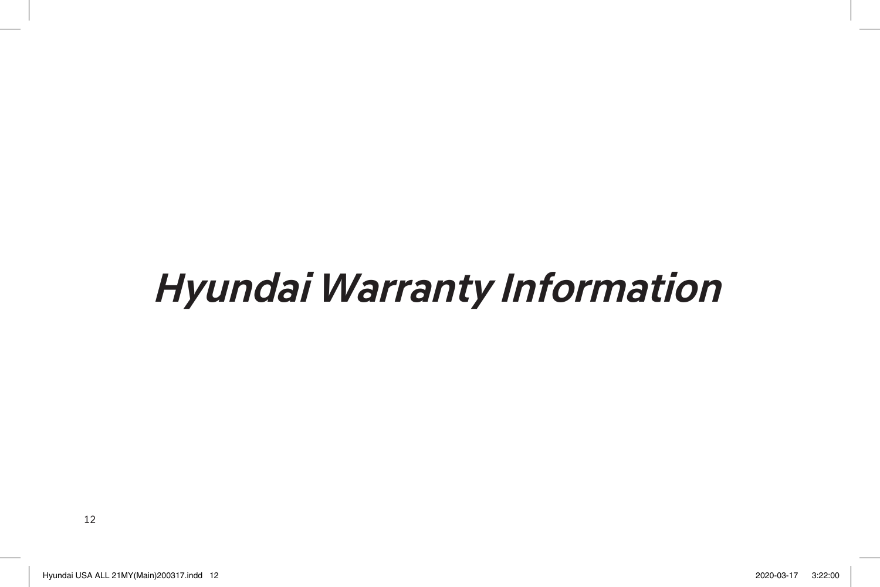# **Hyundai Warranty Information**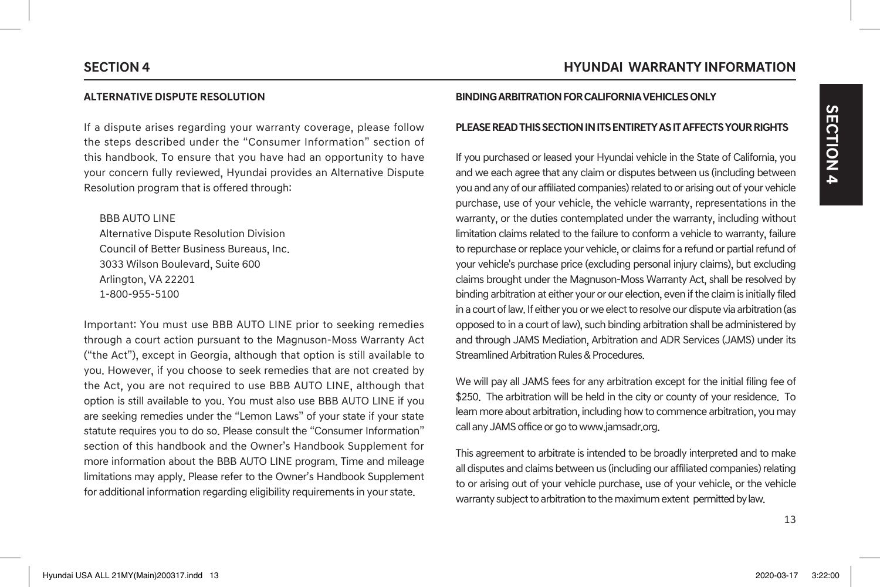## **SECTION 4 HYUNDAI WARRANTY INFORMATION**

### **ALTERNATIVE DISPUTE RESOLUTION**

If a dispute arises regarding your warranty coverage, please follow the steps described under the "Consumer Information" section of this handbook. To ensure that you have had an opportunity to have your concern fully reviewed, Hyundai provides an Alternative Dispute Resolution program that is offered through:

BBB AUTO LINE Alternative Dispute Resolution Division Council of Better Business Bureaus, Inc. 3033 Wilson Boulevard, Suite 600 Arlington, VA 22201 1-800-955-5100

Important: You must use BBB AUTO LINE prior to seeking remedies through a court action pursuant to the Magnuson-Moss Warranty Act ("the Act"), except in Georgia, although that option is still available to you. However, if you choose to seek remedies that are not created by the Act, you are not required to use BBB AUTO LINE, although that option is still available to you. You must also use BBB AUTO LINE if you are seeking remedies under the "Lemon Laws" of your state if your state statute requires you to do so. Please consult the "Consumer Information" section of this handbook and the Owner's Handbook Supplement for more information about the BBB AUTO LINE program. Time and mileage limitations may apply. Please refer to the Owner's Handbook Supplement for additional information regarding eligibility requirements in your state.

### **BINDING ARBITRATION FOR CALIFORNIA VEHICLES ONLY**

### **PLEASE READ THIS SECTION IN ITS ENTIRETY AS IT AFFECTS YOUR RIGHTS**

If you purchased or leased your Hyundai vehicle in the State of California, you and we each agree that any claim or disputes between us (including between you and any of our affiliated companies) related to or arising out of your vehicle purchase, use of your vehicle, the vehicle warranty, representations in the warranty, or the duties contemplated under the warranty, including without limitation claims related to the failure to conform a vehicle to warranty, failure to repurchase or replace your vehicle, or claims for a refund or partial refund of your vehicle's purchase price (excluding personal injury claims), but excluding claims brought under the Magnuson-Moss Warranty Act, shall be resolved by binding arbitration at either your or our election, even if the claim is initially filed in a court of law. If either you or we elect to resolve our dispute via arbitration (as opposed to in a court of law), such binding arbitration shall be administered by and through JAMS Mediation, Arbitration and ADR Services (JAMS) under its Streamlined Arbitration Rules & Procedures.

We will pay all JAMS fees for any arbitration except for the initial filing fee of \$250. The arbitration will be held in the city or county of your residence. To learn more about arbitration, including how to commence arbitration, you may call any JAMS office or go to www.jamsadr.org.

This agreement to arbitrate is intended to be broadly interpreted and to make all disputes and claims between us (including our affiliated companies) relating to or arising out of your vehicle purchase, use of your vehicle, or the vehicle warranty subject to arbitration to the maximum extent permitted by law.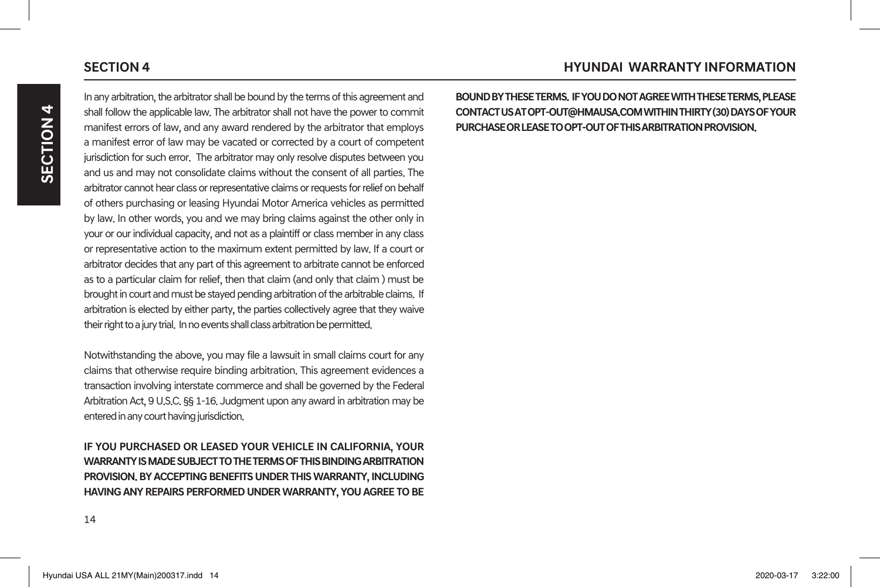In any arbitration, the arbitrator shall be bound by the terms of this agreement and shall follow the applicable law. The arbitrator shall not have the power to commit manifest errors of law, and any award rendered by the arbitrator that employs a manifest error of law may be vacated or corrected by a court of competent jurisdiction for such error. The arbitrator may only resolve disputes between you and us and may not consolidate claims without the consent of all parties. The arbitrator cannot hear class or representative claims or requests for relief on behalf of others purchasing or leasing Hyundai Motor America vehicles as permitted by law. In other words, you and we may bring claims against the other only in your or our individual capacity, and not as a plaintiff or class member in any class or representative action to the maximum extent permitted by law. If a court or arbitrator decides that any part of this agreement to arbitrate cannot be enforced as to a particular claim for relief, then that claim (and only that claim ) must be brought in court and must be stayed pending arbitration of the arbitrable claims. If arbitration is elected by either party, the parties collectively agree that they waive their right to a jury trial. In no events shall class arbitration be permitted.

Notwithstanding the above, you may file a lawsuit in small claims court for any claims that otherwise require binding arbitration. This agreement evidences a transaction involving interstate commerce and shall be governed by the Federal Arbitration Act, 9 U.S.C. §§ 1-16. Judgment upon any award in arbitration may be entered in any court having jurisdiction.

**IF YOU PURCHASED OR LEASED YOUR VEHICLE IN CALIFORNIA, YOUR WARRANTY IS MADE SUBJECT TO THE TERMS OF THIS BINDING ARBITRATION PROVISION. BY ACCEPTING BENEFITS UNDER THIS WARRANTY, INCLUDING HAVING ANY REPAIRS PERFORMED UNDER WARRANTY, YOU AGREE TO BE** 

**BOUND BY THESE TERMS. IF YOU DO NOT AGREE WITH THESE TERMS, PLEASE CONTACT US AT OPT-OUT@HMAUSA.COM WITHIN THIRTY (30) DAYS OF YOUR PURCHASE OR LEASE TO OPT-OUT OF THIS ARBITRATION PROVISION.**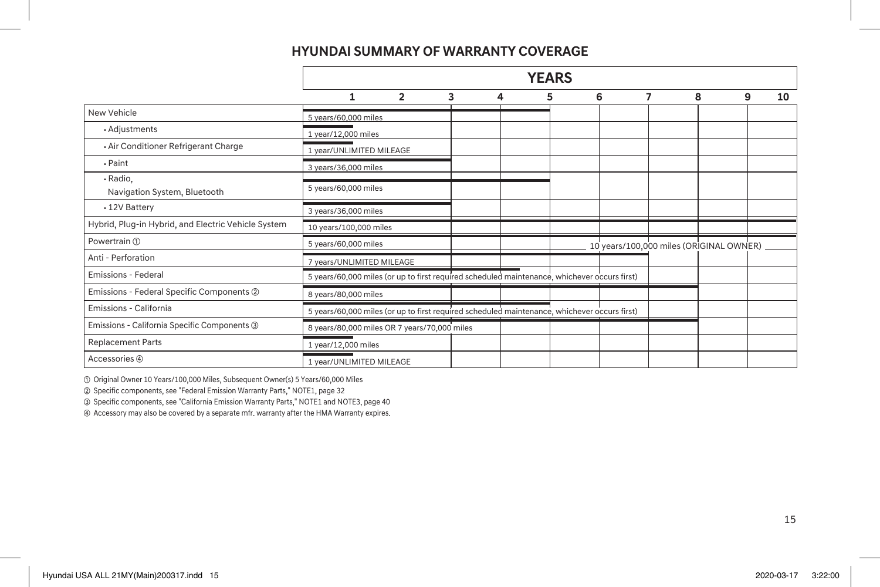# **HYUNDAI SUMMARY OF WARRANTY COVERAGE**

|                                                     |                                                                                              |                |   |   | <b>YEARS</b> |   |   |   |   |    |
|-----------------------------------------------------|----------------------------------------------------------------------------------------------|----------------|---|---|--------------|---|---|---|---|----|
|                                                     |                                                                                              | $\overline{2}$ | 3 | 4 | 5            | 6 | 7 | 8 | 9 | 10 |
| New Vehicle                                         | 5 years/60,000 miles                                                                         |                |   |   |              |   |   |   |   |    |
| • Adjustments                                       | 1 year/12,000 miles                                                                          |                |   |   |              |   |   |   |   |    |
| · Air Conditioner Refrigerant Charge                | 1 year/UNLIMITED MILEAGE                                                                     |                |   |   |              |   |   |   |   |    |
| $\cdot$ Paint                                       | 3 years/36,000 miles                                                                         |                |   |   |              |   |   |   |   |    |
| · Radio,<br>Navigation System, Bluetooth            | 5 years/60,000 miles                                                                         |                |   |   |              |   |   |   |   |    |
| • 12V Battery                                       | 3 years/36,000 miles                                                                         |                |   |   |              |   |   |   |   |    |
| Hybrid, Plug-in Hybrid, and Electric Vehicle System | 10 years/100,000 miles                                                                       |                |   |   |              |   |   |   |   |    |
| Powertrain ①                                        | 5 years/60,000 miles<br>10 years/100,000 miles (ORIGINAL OWNER)                              |                |   |   |              |   |   |   |   |    |
| Anti - Perforation                                  | 7 years/UNLIMITED MILEAGE                                                                    |                |   |   |              |   |   |   |   |    |
| <b>Emissions - Federal</b>                          | 5 years/60,000 miles (or up to first required scheduled maintenance, whichever occurs first) |                |   |   |              |   |   |   |   |    |
| Emissions - Federal Specific Components 2           | 8 years/80,000 miles                                                                         |                |   |   |              |   |   |   |   |    |
| Emissions - California                              | 5 years/60,000 miles (or up to first required scheduled maintenance, whichever occurs first) |                |   |   |              |   |   |   |   |    |
| Emissions - California Specific Components 3        | 8 years/80,000 miles OR 7 years/70,000 miles                                                 |                |   |   |              |   |   |   |   |    |
| <b>Replacement Parts</b>                            | 1 year/12,000 miles                                                                          |                |   |   |              |   |   |   |   |    |
| Accessories 4                                       | 1 year/UNLIMITED MILEAGE                                                                     |                |   |   |              |   |   |   |   |    |

① Original Owner 10 Years/100,000 Miles, Subsequent Owner(s) 5 Years/60,000 Miles

② Specific components, see "Federal Emission Warranty Parts," NOTE1, page 32

③ Specific components, see "California Emission Warranty Parts," NOTE1 and NOTE3, page 40

④ Accessory may also be covered by a separate mfr. warranty after the HMA Warranty expires.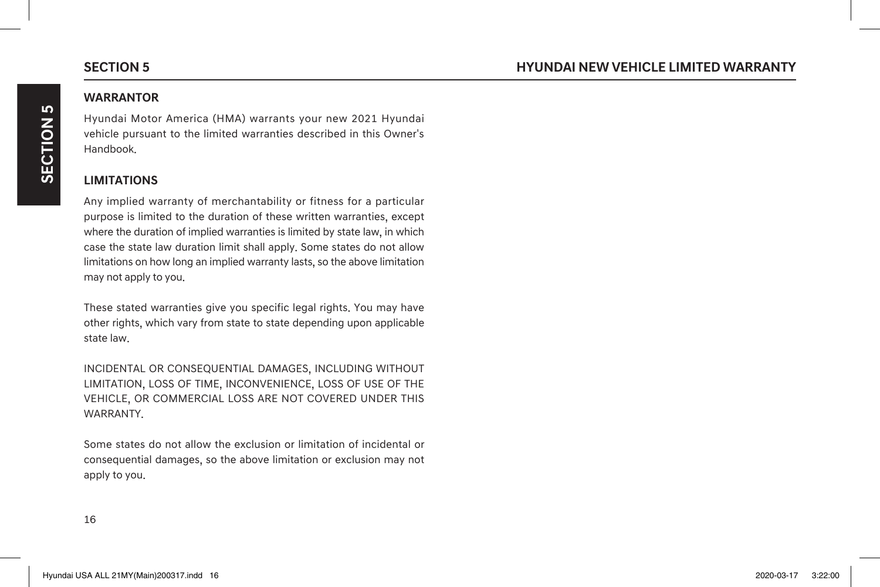# **WARRANTOR**

**SECTION 5**

SECTION 5

Hyundai Motor America (HMA) warrants your new 2021 Hyundai vehicle pursuant to the limited warranties described in this Owner's Handbook.

### **LIMITATIONS**

Any implied warranty of merchantability or fitness for a particular purpose is limited to the duration of these written warranties, except where the duration of implied warranties is limited by state law, in which case the state law duration limit shall apply. Some states do not allow limitations on how long an implied warranty lasts, so the above limitation may not apply to you.

These stated warranties give you specific legal rights. You may have other rights, which vary from state to state depending upon applicable state law.

INCIDENTAL OR CONSEQUENTIAL DAMAGES, INCLUDING WITHOUT LIMITATION, LOSS OF TIME, INCONVENIENCE, LOSS OF USE OF THE VEHICLE, OR COMMERCIAL LOSS ARE NOT COVERED UNDER THIS **WARRANTY** 

Some states do not allow the exclusion or limitation of incidental or consequential damages, so the above limitation or exclusion may not apply to you.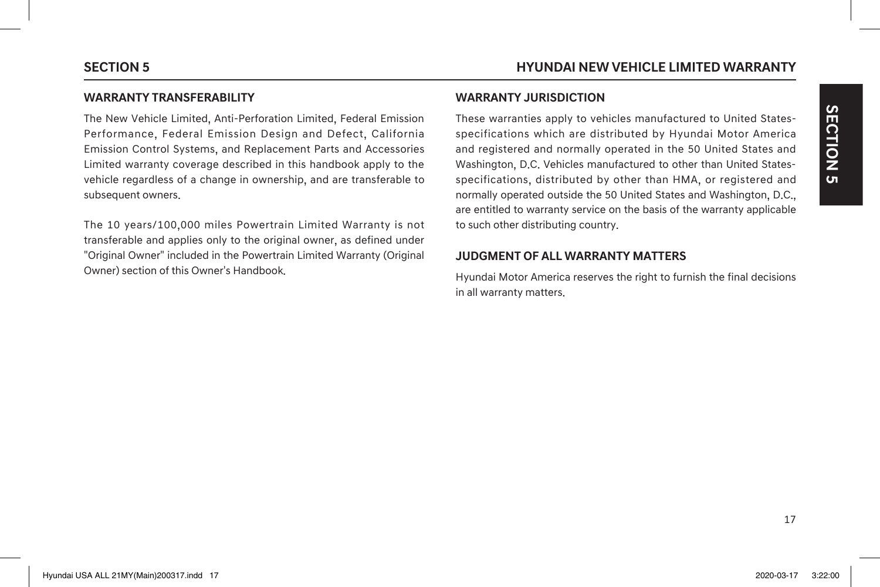### **WARRANTY TRANSFERABILITY**

The New Vehicle Limited, Anti-Perforation Limited, Federal Emission Performance, Federal Emission Design and Defect, California Emission Control Systems, and Replacement Parts and Accessories Limited warranty coverage described in this handbook apply to the vehicle regardless of a change in ownership, and are transferable to subsequent owners.

The 10 years/100,000 miles Powertrain Limited Warranty is not transferable and applies only to the original owner, as defined under "Original Owner" included in the Powertrain Limited Warranty (Original Owner) section of this Owner's Handbook.

### **WARRANTY JURISDICTION**

These warranties apply to vehicles manufactured to United Statesspecifications which are distributed by Hyundai Motor America and registered and normally operated in the 50 United States and Washington, D.C. Vehicles manufactured to other than United Statesspecifications, distributed by other than HMA, or registered and normally operated outside the 50 United States and Washington, D.C., are entitled to warranty service on the basis of the warranty applicable to such other distributing country.

# **JUDGMENT OF ALL WARRANTY MATTERS**

Hyundai Motor America reserves the right to furnish the final decisions in all warranty matters.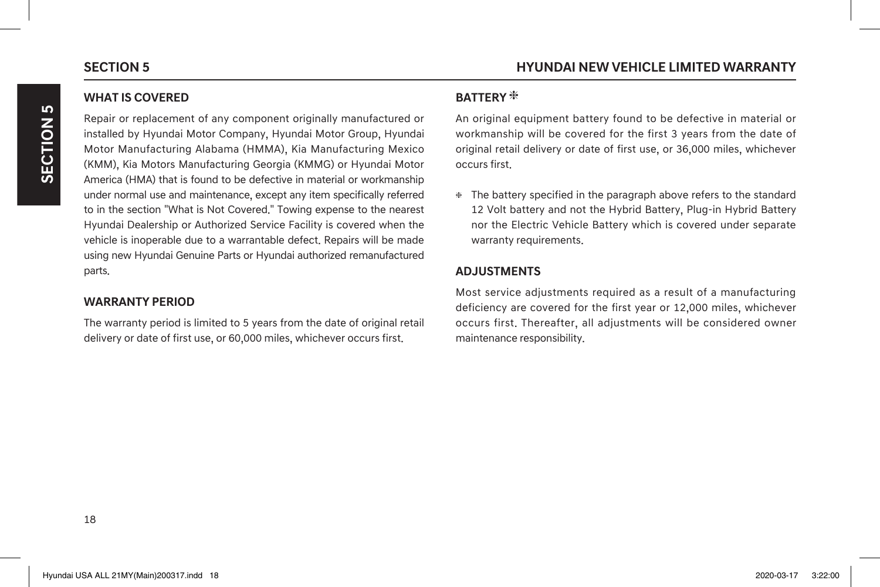Repair or replacement of any component originally manufactured or installed by Hyundai Motor Company, Hyundai Motor Group, Hyundai Motor Manufacturing Alabama (HMMA), Kia Manufacturing Mexico (KMM), Kia Motors Manufacturing Georgia (KMMG) or Hyundai Motor America (HMA) that is found to be defective in material or workmanship under normal use and maintenance, except any item specifically referred to in the section "What is Not Covered." Towing expense to the nearest Hyundai Dealership or Authorized Service Facility is covered when the vehicle is inoperable due to a warrantable defect. Repairs will be made using new Hyundai Genuine Parts or Hyundai authorized remanufactured parts.

# **WARRANTY PERIOD**

The warranty period is limited to 5 years from the date of original retail delivery or date of first use, or 60,000 miles, whichever occurs first.

### **BATTERY**

An original equipment battery found to be defective in material or workmanship will be covered for the first 3 years from the date of original retail delivery or date of first use, or 36,000 miles, whichever occurs first.

 The battery specified in the paragraph above refers to the standard 12 Volt battery and not the Hybrid Battery, Plug-in Hybrid Battery nor the Electric Vehicle Battery which is covered under separate warranty requirements.

# **ADJUSTMENTS**

Most service adjustments required as a result of a manufacturing deficiency are covered for the first year or 12,000 miles, whichever occurs first. Thereafter, all adjustments will be considered owner maintenance responsibility.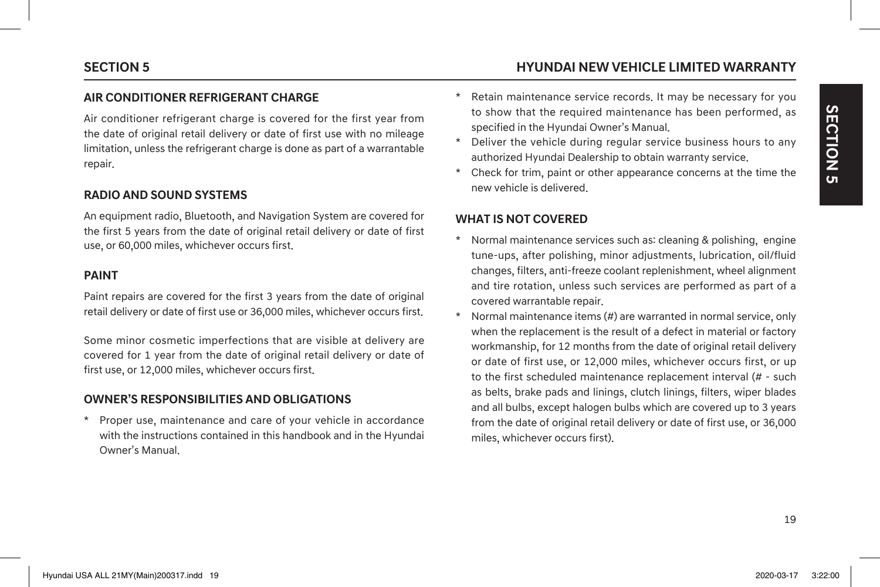# **SECTION 5 HYUNDAI NEW VEHICLE LIMITED WARRANTY**

## **AIR CONDITIONER REFRIGERANT CHARGE**

Air conditioner refrigerant charge is covered for the first year from the date of original retail delivery or date of first use with no mileage limitation, unless the refrigerant charge is done as part of a warrantable repair.

### **RADIO AND SOUND SYSTEMS**

An equipment radio, Bluetooth, and Navigation System are covered for the first 5 years from the date of original retail delivery or date of first use, or 60,000 miles, whichever occurs first.

### **PAINT**

Paint repairs are covered for the first 3 years from the date of original retail delivery or date of first use or 36,000 miles, whichever occurs first.

Some minor cosmetic imperfections that are visible at delivery are covered for 1 year from the date of original retail delivery or date of first use, or 12,000 miles, whichever occurs first.

# **OWNER'S RESPONSIBILITIES AND OBLIGATIONS**

Proper use, maintenance and care of your vehicle in accordance with the instructions contained in this handbook and in the Hyundai Owner's Manual.

- Retain maintenance service records. It may be necessary for you to show that the required maintenance has been performed, as specified in the Hyundai Owner's Manual.
- \* Deliver the vehicle during regular service business hours to any authorized Hyundai Dealership to obtain warranty service.
- \* Check for trim, paint or other appearance concerns at the time the new vehicle is delivered.

### **WHAT IS NOT COVERED**

- \* Normal maintenance services such as: cleaning & polishing, engine tune-ups, after polishing, minor adjustments, lubrication, oil/fluid changes, filters, anti-freeze coolant replenishment, wheel alignment and tire rotation, unless such services are performed as part of a covered warrantable repair.
- Normal maintenance items  $(H)$  are warranted in normal service, only when the replacement is the result of a defect in material or factory workmanship, for 12 months from the date of original retail delivery or date of first use, or 12,000 miles, whichever occurs first, or up to the first scheduled maintenance replacement interval (# - such as belts, brake pads and linings, clutch linings, filters, wiper blades and all bulbs, except halogen bulbs which are covered up to 3 years from the date of original retail delivery or date of first use, or 36,000 miles, whichever occurs first).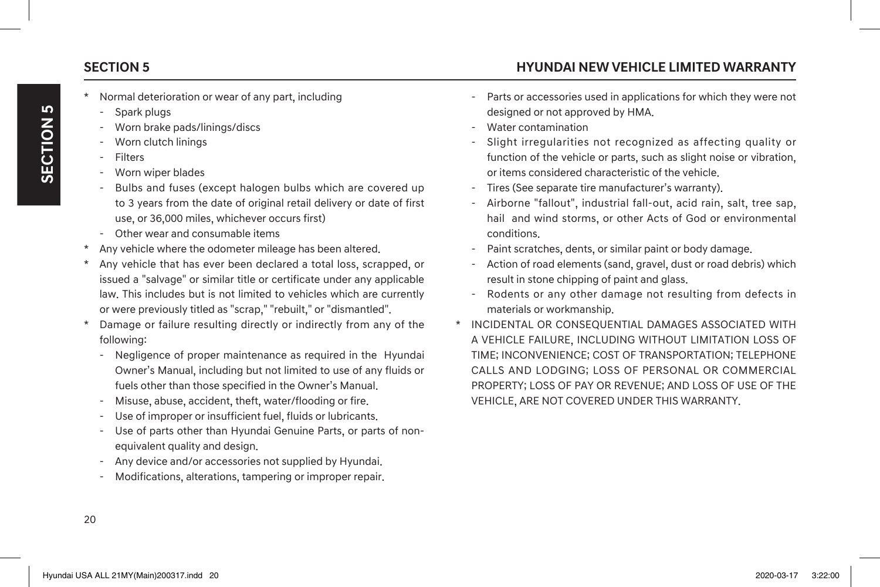- Normal deterioration or wear of any part, including
- Spark plugs
- Worn brake pads/linings/discs
- Worn clutch linings
- **Filters**
- Worn wiper blades
- Bulbs and fuses (except halogen bulbs which are covered up to 3 years from the date of original retail delivery or date of first use, or 36,000 miles, whichever occurs first)
- Other wear and consumable items
- Any vehicle where the odometer mileage has been altered.
- Any vehicle that has ever been declared a total loss, scrapped, or issued a "salvage" or similar title or certificate under any applicable law. This includes but is not limited to vehicles which are currently or were previously titled as "scrap," "rebuilt," or "dismantled".
- Damage or failure resulting directly or indirectly from any of the following:
	- Negligence of proper maintenance as required in the Hyundai Owner's Manual, including but not limited to use of any fluids or fuels other than those specified in the Owner's Manual.
	- Misuse, abuse, accident, theft, water/flooding or fire.
	- Use of improper or insufficient fuel, fluids or lubricants.
	- Use of parts other than Hyundai Genuine Parts, or parts of nonequivalent quality and design.
	- Any device and/or accessories not supplied by Hyundai.
	- Modifications, alterations, tampering or improper repair.
- **SECTION 5 HYUNDAI NEW VEHICLE LIMITED WARRANTY**
	- Parts or accessories used in applications for which they were not designed or not approved by HMA.
	- Water contamination
	- Slight irregularities not recognized as affecting quality or function of the vehicle or parts, such as slight noise or vibration, or items considered characteristic of the vehicle.
	- Tires (See separate tire manufacturer's warranty).
	- Airborne "fallout", industrial fall-out, acid rain, salt, tree sap, hail and wind storms, or other Acts of God or environmental conditions.
	- Paint scratches, dents, or similar paint or body damage.
	- Action of road elements (sand, gravel, dust or road debris) which result in stone chipping of paint and glass.
	- Rodents or any other damage not resulting from defects in materials or workmanship.
	- INCIDENTAL OR CONSEQUENTIAL DAMAGES ASSOCIATED WITH A VEHICLE FAILURE, INCLUDING WITHOUT LIMITATION LOSS OF TIME; INCONVENIENCE; COST OF TRANSPORTATION; TELEPHONE CALLS AND LODGING; LOSS OF PERSONAL OR COMMERCIAL PROPERTY; LOSS OF PAY OR REVENUE; AND LOSS OF USE OF THE VEHICLE, ARE NOT COVERED UNDER THIS WARRANTY.

20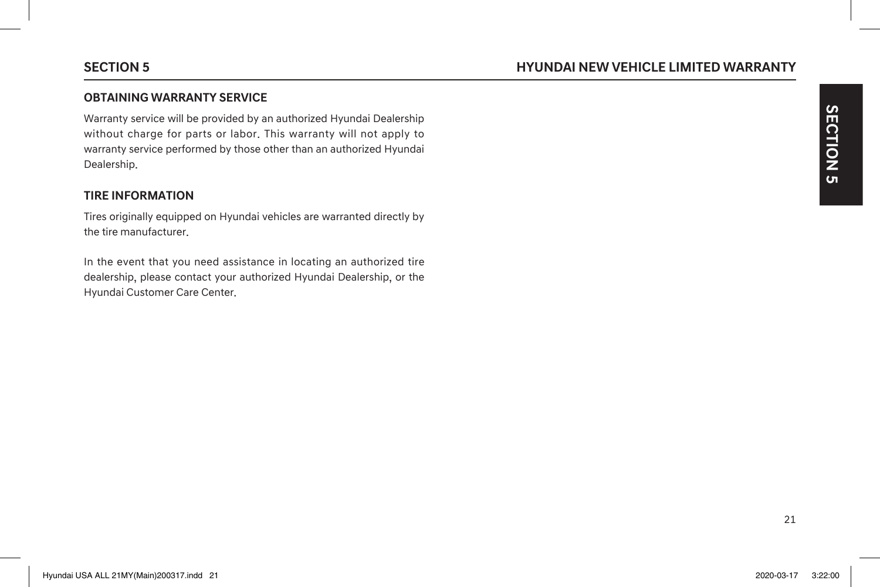### **OBTAINING WARRANTY SERVICE**

Warranty service will be provided by an authorized Hyundai Dealership without charge for parts or labor. This warranty will not apply to warranty service performed by those other than an authorized Hyundai Dealership.

### **TIRE INFORMATION**

Tires originally equipped on Hyundai vehicles are warranted directly by the tire manufacturer.

In the event that you need assistance in locating an authorized tire dealership, please contact your authorized Hyundai Dealership, or the Hyundai Customer Care Center.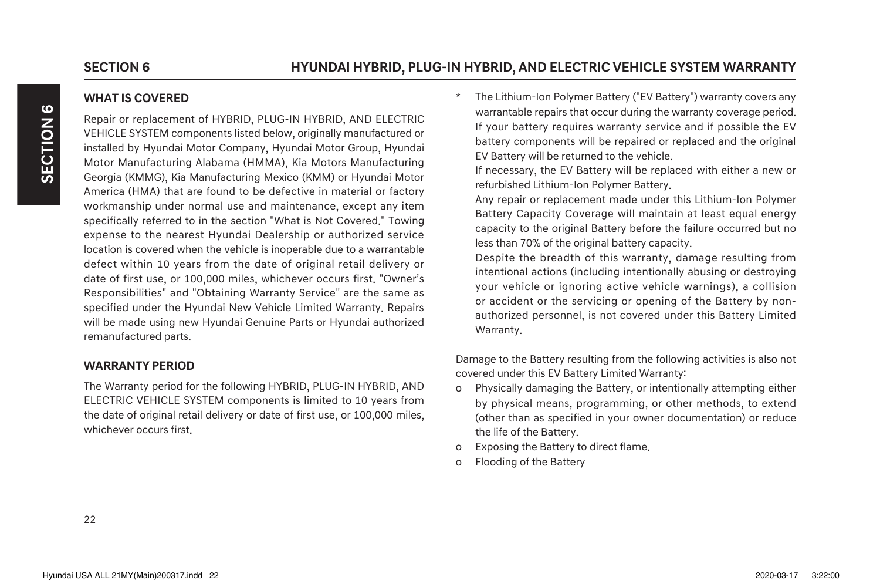# **WHAT IS COVERED**

Repair or replacement of HYBRID, PLUG-IN HYBRID, AND ELECTRIC VEHICLE SYSTEM components listed below, originally manufactured or installed by Hyundai Motor Company, Hyundai Motor Group, Hyundai Motor Manufacturing Alabama (HMMA), Kia Motors Manufacturing Georgia (KMMG), Kia Manufacturing Mexico (KMM) or Hyundai Motor America (HMA) that are found to be defective in material or factory workmanship under normal use and maintenance, except any item specifically referred to in the section "What is Not Covered." Towing expense to the nearest Hyundai Dealership or authorized service location is covered when the vehicle is inoperable due to a warrantable defect within 10 years from the date of original retail delivery or date of first use, or 100,000 miles, whichever occurs first. "Owner's Responsibilities" and "Obtaining Warranty Service" are the same as specified under the Hyundai New Vehicle Limited Warranty. Repairs will be made using new Hyundai Genuine Parts or Hyundai authorized remanufactured parts.

### **WARRANTY PERIOD**

The Warranty period for the following HYBRID, PLUG-IN HYBRID, AND ELECTRIC VEHICLE SYSTEM components is limited to 10 years from the date of original retail delivery or date of first use, or 100,000 miles, whichever occurs first.

The Lithium-Ion Polymer Battery ("EV Battery") warranty covers any warrantable repairs that occur during the warranty coverage period. If your battery requires warranty service and if possible the EV battery components will be repaired or replaced and the original EV Battery will be returned to the vehicle.

 If necessary, the EV Battery will be replaced with either a new or refurbished Lithium-Ion Polymer Battery.

 Any repair or replacement made under this Lithium-Ion Polymer Battery Capacity Coverage will maintain at least equal energy capacity to the original Battery before the failure occurred but no less than 70% of the original battery capacity.

 Despite the breadth of this warranty, damage resulting from intentional actions (including intentionally abusing or destroying your vehicle or ignoring active vehicle warnings), a collision or accident or the servicing or opening of the Battery by nonauthorized personnel, is not covered under this Battery Limited Warranty.

Damage to the Battery resulting from the following activities is also not covered under this EV Battery Limited Warranty:

- o Physically damaging the Battery, or intentionally attempting either by physical means, programming, or other methods, to extend (other than as specified in your owner documentation) or reduce the life of the Battery.
- o Exposing the Battery to direct flame.
- o Flooding of the Battery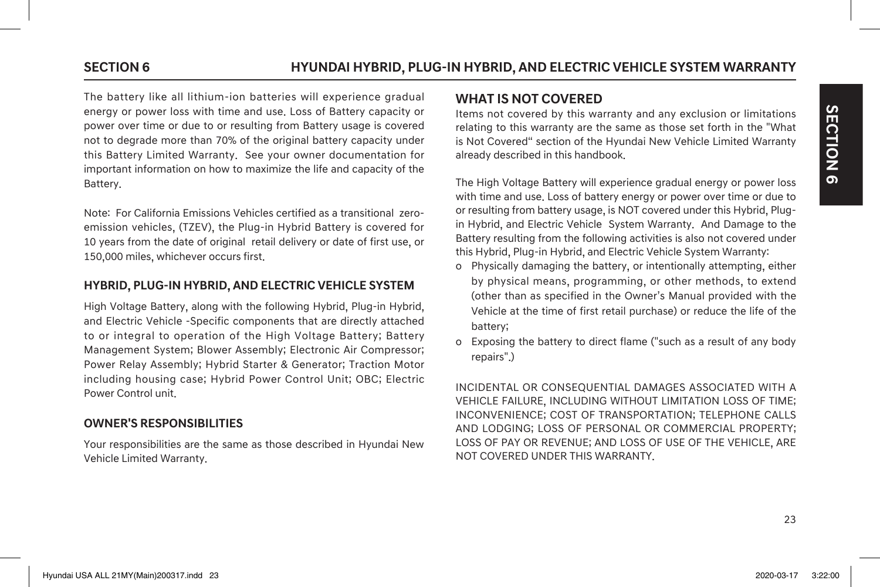The battery like all lithium-ion batteries will experience gradual energy or power loss with time and use. Loss of Battery capacity or power over time or due to or resulting from Battery usage is covered not to degrade more than 70% of the original battery capacity under this Battery Limited Warranty. See your owner documentation for important information on how to maximize the life and capacity of the Battery.

Note: For California Emissions Vehicles certified as a transitional zeroemission vehicles, (TZEV), the Plug-in Hybrid Battery is covered for 10 years from the date of original retail delivery or date of first use, or 150,000 miles, whichever occurs first.

### **HYBRID, PLUG-IN HYBRID, AND ELECTRIC VEHICLE SYSTEM**

High Voltage Battery, along with the following Hybrid, Plug-in Hybrid, and Electric Vehicle -Specific components that are directly attached to or integral to operation of the High Voltage Battery; Battery Management System; Blower Assembly; Electronic Air Compressor; Power Relay Assembly; Hybrid Starter & Generator; Traction Motor including housing case; Hybrid Power Control Unit; OBC; Electric Power Control unit.

# **OWNER'S RESPONSIBILITIES**

Your responsibilities are the same as those described in Hyundai New Vehicle Limited Warranty.

# **WHAT IS NOT COVERED**

Items not covered by this warranty and any exclusion or limitations relating to this warranty are the same as those set forth in the "What is Not Covered" section of the Hyundai New Vehicle Limited Warranty already described in this handbook.

The High Voltage Battery will experience gradual energy or power loss with time and use. Loss of battery energy or power over time or due to or resulting from battery usage, is NOT covered under this Hybrid, Plugin Hybrid, and Electric Vehicle System Warranty. And Damage to the Battery resulting from the following activities is also not covered under this Hybrid, Plug-in Hybrid, and Electric Vehicle System Warranty:

- o Physically damaging the battery, or intentionally attempting, either by physical means, programming, or other methods, to extend (other than as specified in the Owner's Manual provided with the Vehicle at the time of first retail purchase) or reduce the life of the battery;
- o Exposing the battery to direct flame ("such as a result of any body repairs".)

INCIDENTAL OR CONSEQUENTIAL DAMAGES ASSOCIATED WITH A VEHICLE FAILURE, INCLUDING WITHOUT LIMITATION LOSS OF TIME; INCONVENIENCE; COST OF TRANSPORTATION; TELEPHONE CALLS AND LODGING; LOSS OF PERSONAL OR COMMERCIAL PROPERTY; LOSS OF PAY OR REVENUE; AND LOSS OF USE OF THE VEHICLE, ARE NOT COVERED UNDER THIS WARRANTY.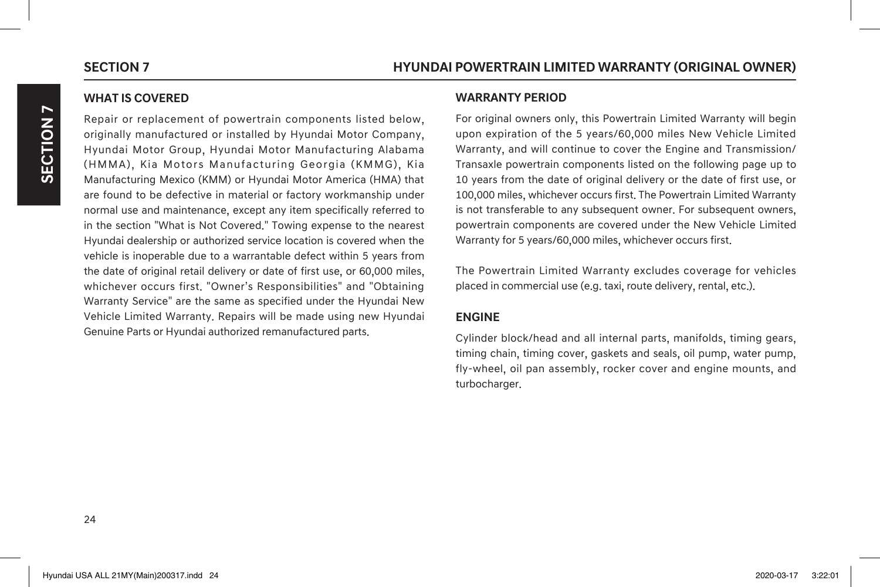**SECTION 7**

SECTION

 $\blacktriangleright$ 

### **WHAT IS COVERED**

Repair or replacement of powertrain components listed below, originally manufactured or installed by Hyundai Motor Company, Hyundai Motor Group, Hyundai Motor Manufacturing Alabama (HMMA), Kia Motors Manufacturing Georgia (KMMG), Kia Manufacturing Mexico (KMM) or Hyundai Motor America (HMA) that are found to be defective in material or factory workmanship under normal use and maintenance, except any item specifically referred to in the section "What is Not Covered." Towing expense to the nearest Hyundai dealership or authorized service location is covered when the vehicle is inoperable due to a warrantable defect within 5 years from the date of original retail delivery or date of first use, or 60,000 miles, whichever occurs first. "Owner's Responsibilities" and "Obtaining Warranty Service" are the same as specified under the Hyundai New Vehicle Limited Warranty. Repairs will be made using new Hyundai Genuine Parts or Hyundai authorized remanufactured parts.

### **WARRANTY PERIOD**

For original owners only, this Powertrain Limited Warranty will begin upon expiration of the 5 years/60,000 miles New Vehicle Limited Warranty, and will continue to cover the Engine and Transmission/ Transaxle powertrain components listed on the following page up to 10 years from the date of original delivery or the date of first use, or 100,000 miles, whichever occurs first. The Powertrain Limited Warranty is not transferable to any subsequent owner. For subsequent owners, powertrain components are covered under the New Vehicle Limited Warranty for 5 years/60,000 miles, whichever occurs first.

The Powertrain Limited Warranty excludes coverage for vehicles placed in commercial use (e.g. taxi, route delivery, rental, etc.).

### **ENGINE**

Cylinder block/head and all internal parts, manifolds, timing gears, timing chain, timing cover, gaskets and seals, oil pump, water pump, fly-wheel, oil pan assembly, rocker cover and engine mounts, and turbocharger.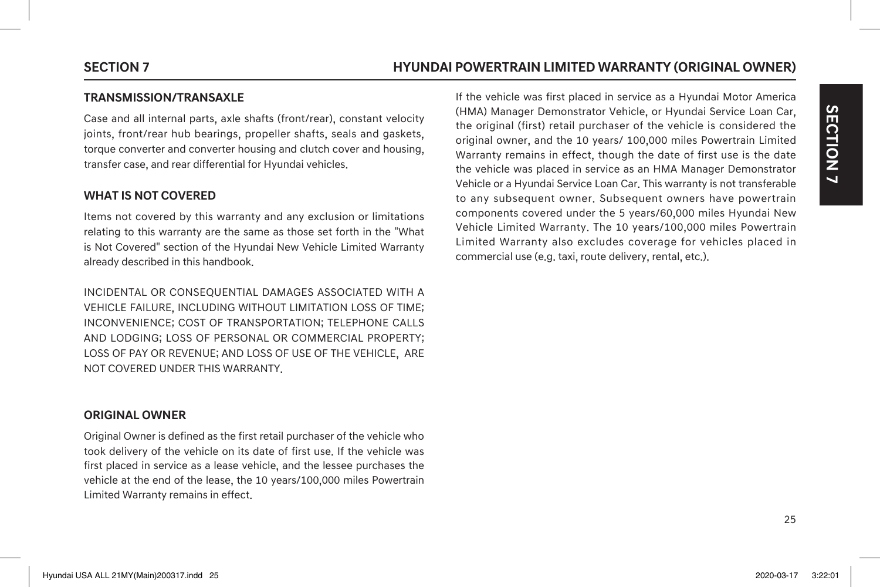# **SECTION 7 HYUNDAI POWERTRAIN LIMITED WARRANTY (ORIGINAL OWNER)**

### **TRANSMISSION/TRANSAXLE**

Case and all internal parts, axle shafts (front/rear), constant velocity joints, front/rear hub bearings, propeller shafts, seals and gaskets, torque converter and converter housing and clutch cover and housing, transfer case, and rear differential for Hyundai vehicles.

### **WHAT IS NOT COVERED**

Items not covered by this warranty and any exclusion or limitations relating to this warranty are the same as those set forth in the "What is Not Covered" section of the Hyundai New Vehicle Limited Warranty already described in this handbook.

INCIDENTAL OR CONSEQUENTIAL DAMAGES ASSOCIATED WITH A VEHICLE FAILURE, INCLUDING WITHOUT LIMITATION LOSS OF TIME; INCONVENIENCE; COST OF TRANSPORTATION; TELEPHONE CALLS AND LODGING; LOSS OF PERSONAL OR COMMERCIAL PROPERTY; LOSS OF PAY OR REVENUE; AND LOSS OF USE OF THE VEHICLE, ARE NOT COVERED UNDER THIS WARRANTY.

### **ORIGINAL OWNER**

Original Owner is defined as the first retail purchaser of the vehicle who took delivery of the vehicle on its date of first use. If the vehicle was first placed in service as a lease vehicle, and the lessee purchases the vehicle at the end of the lease, the 10 years/100,000 miles Powertrain Limited Warranty remains in effect.

If the vehicle was first placed in service as a Hyundai Motor America (HMA) Manager Demonstrator Vehicle, or Hyundai Service Loan Car, the original (first) retail purchaser of the vehicle is considered the original owner, and the 10 years/ 100,000 miles Powertrain Limited Warranty remains in effect, though the date of first use is the date the vehicle was placed in service as an HMA Manager Demonstrator Vehicle or a Hyundai Service Loan Car. This warranty is not transferable to any subsequent owner. Subsequent owners have powertrain components covered under the 5 years/60,000 miles Hyundai New Vehicle Limited Warranty. The 10 years/100,000 miles Powertrain Limited Warranty also excludes coverage for vehicles placed in commercial use (e.g. taxi, route delivery, rental, etc.).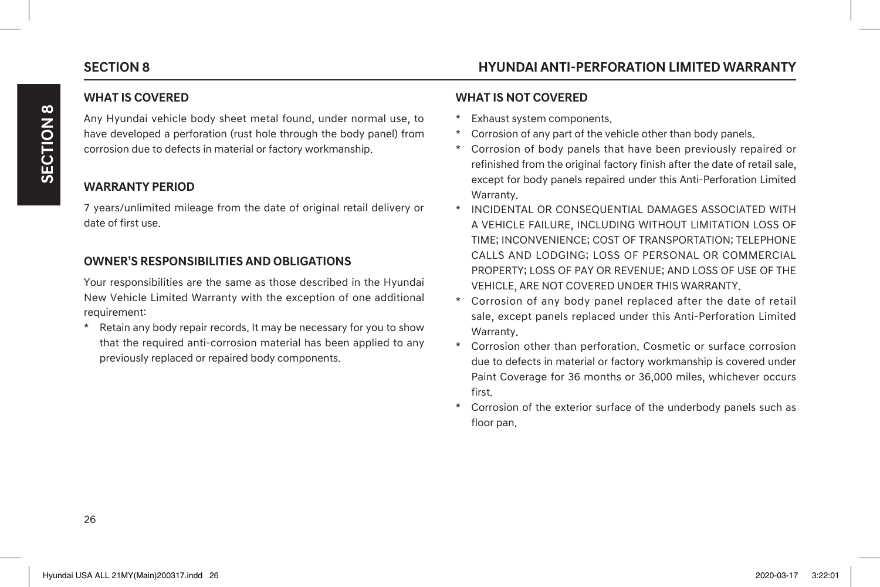**SECTION 8**

**SECTION 8** 

# **WHAT IS COVERED**

Any Hyundai vehicle body sheet metal found, under normal use, to have developed a perforation (rust hole through the body panel) from corrosion due to defects in material or factory workmanship.

# **WARRANTY PERIOD**

7 years/unlimited mileage from the date of original retail delivery or date of first use.

### **OWNER'S RESPONSIBILITIES AND OBLIGATIONS**

Your responsibilities are the same as those described in the Hyundai New Vehicle Limited Warranty with the exception of one additional requirement:

\* Retain any body repair records. It may be necessary for you to show that the required anti-corrosion material has been applied to any previously replaced or repaired body components.

### **WHAT IS NOT COVERED**

- Exhaust system components.
- Corrosion of any part of the vehicle other than body panels.
- Corrosion of body panels that have been previously repaired or refinished from the original factory finish after the date of retail sale, except for body panels repaired under this Anti-Perforation Limited Warranty.
- \* INCIDENTAL OR CONSEQUENTIAL DAMAGES ASSOCIATED WITH A VEHICLE FAILURE, INCLUDING WITHOUT LIMITATION LOSS OF TIME; INCONVENIENCE; COST OF TRANSPORTATION; TELEPHONE CALLS AND LODGING; LOSS OF PERSONAL OR COMMERCIAL PROPERTY; LOSS OF PAY OR REVENUE; AND LOSS OF USE OF THE VEHICLE, ARE NOT COVERED UNDER THIS WARRANTY.
- Corrosion of any body panel replaced after the date of retail sale, except panels replaced under this Anti-Perforation Limited Warranty.
- Corrosion other than perforation. Cosmetic or surface corrosion due to defects in material or factory workmanship is covered under Paint Coverage for 36 months or 36,000 miles, whichever occurs first.
- \* Corrosion of the exterior surface of the underbody panels such as floor pan.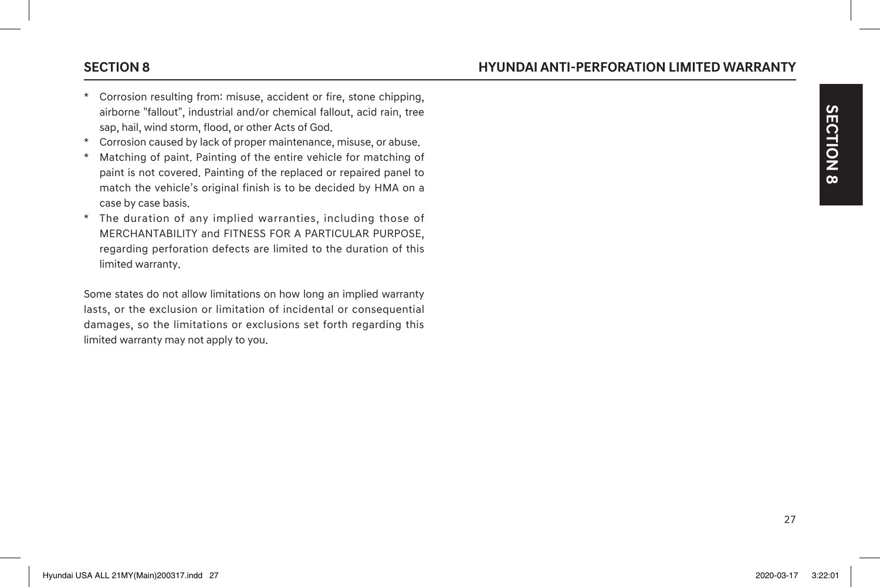- Corrosion resulting from: misuse, accident or fire, stone chipping, airborne "fallout", industrial and/or chemical fallout, acid rain, tree sap, hail, wind storm, flood, or other Acts of God.
- \* Corrosion caused by lack of proper maintenance, misuse, or abuse.
- \* Matching of paint. Painting of the entire vehicle for matching of paint is not covered. Painting of the replaced or repaired panel to match the vehicle's original finish is to be decided by HMA on a case by case basis.
- \* The duration of any implied warranties, including those of MERCHANTABILITY and FITNESS FOR A PARTICULAR PURPOSE, regarding perforation defects are limited to the duration of this limited warranty.

Some states do not allow limitations on how long an implied warranty lasts, or the exclusion or limitation of incidental or consequential damages, so the limitations or exclusions set forth regarding this limited warranty may not apply to you.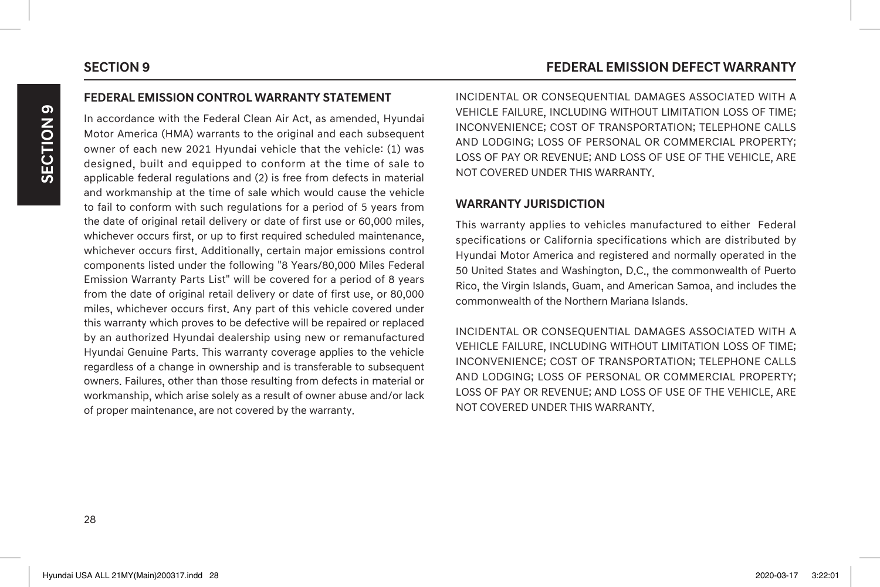### **FEDERAL EMISSION CONTROL WARRANTY STATEMENT**

In accordance with the Federal Clean Air Act, as amended, Hyundai Motor America (HMA) warrants to the original and each subsequent owner of each new 2021 Hyundai vehicle that the vehicle: (1) was designed, built and equipped to conform at the time of sale to applicable federal regulations and (2) is free from defects in material and workmanship at the time of sale which would cause the vehicle to fail to conform with such regulations for a period of 5 years from the date of original retail delivery or date of first use or 60,000 miles, whichever occurs first, or up to first required scheduled maintenance, whichever occurs first. Additionally, certain major emissions control components listed under the following "8 Years/80,000 Miles Federal Emission Warranty Parts List" will be covered for a period of 8 years from the date of original retail delivery or date of first use, or 80,000 miles, whichever occurs first. Any part of this vehicle covered under this warranty which proves to be defective will be repaired or replaced by an authorized Hyundai dealership using new or remanufactured Hyundai Genuine Parts. This warranty coverage applies to the vehicle regardless of a change in ownership and is transferable to subsequent owners. Failures, other than those resulting from defects in material or workmanship, which arise solely as a result of owner abuse and/or lack of proper maintenance, are not covered by the warranty.

INCIDENTAL OR CONSEQUENTIAL DAMAGES ASSOCIATED WITH A VEHICLE FAILURE, INCLUDING WITHOUT LIMITATION LOSS OF TIME; INCONVENIENCE; COST OF TRANSPORTATION; TELEPHONE CALLS AND LODGING; LOSS OF PERSONAL OR COMMERCIAL PROPERTY; LOSS OF PAY OR REVENUE; AND LOSS OF USE OF THE VEHICLE, ARE NOT COVERED UNDER THIS WARRANTY.

### **WARRANTY JURISDICTION**

This warranty applies to vehicles manufactured to either Federal specifications or California specifications which are distributed by Hyundai Motor America and registered and normally operated in the 50 United States and Washington, D.C., the commonwealth of Puerto Rico, the Virgin Islands, Guam, and American Samoa, and includes the commonwealth of the Northern Mariana Islands.

INCIDENTAL OR CONSEQUENTIAL DAMAGES ASSOCIATED WITH A VEHICLE FAILURE, INCLUDING WITHOUT LIMITATION LOSS OF TIME; INCONVENIENCE; COST OF TRANSPORTATION; TELEPHONE CALLS AND LODGING; LOSS OF PERSONAL OR COMMERCIAL PROPERTY; LOSS OF PAY OR REVENUE; AND LOSS OF USE OF THE VEHICLE, ARE NOT COVERED UNDER THIS WARRANTY.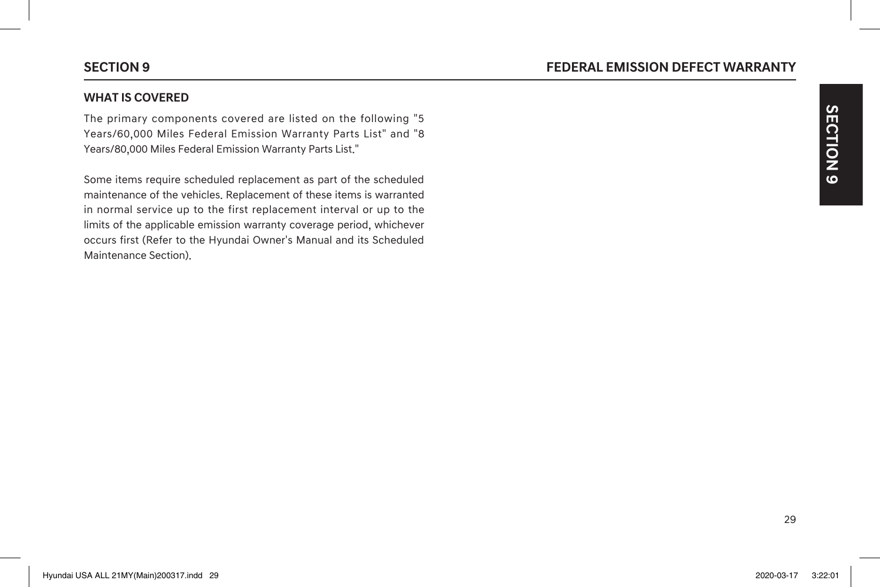### **WHAT IS COVERED**

The primary components covered are listed on the following "5 Years/60,000 Miles Federal Emission Warranty Parts List" and "8 Years/80,000 Miles Federal Emission Warranty Parts List."

Some items require scheduled replacement as part of the scheduled maintenance of the vehicles. Replacement of these items is warranted in normal service up to the first replacement interval or up to the limits of the applicable emission warranty coverage period, whichever occurs first (Refer to the Hyundai Owner's Manual and its Scheduled Maintenance Section).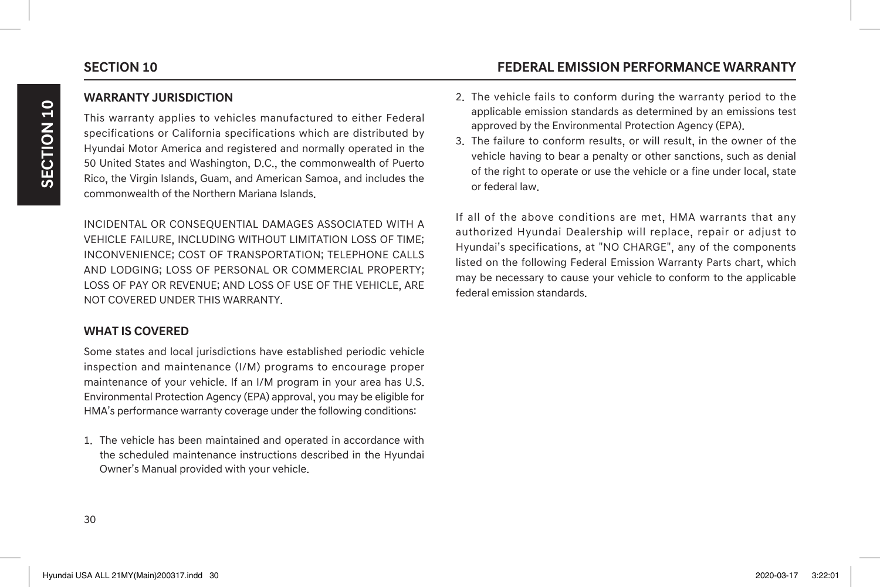### **WARRANTY JURISDICTION**

This warranty applies to vehicles manufactured to either Federal specifications or California specifications which are distributed by Hyundai Motor America and registered and normally operated in the 50 United States and Washington, D.C., the commonwealth of Puerto Rico, the Virgin Islands, Guam, and American Samoa, and includes the commonwealth of the Northern Mariana Islands.

INCIDENTAL OR CONSEQUENTIAL DAMAGES ASSOCIATED WITH A VEHICLE FAILURE, INCLUDING WITHOUT LIMITATION LOSS OF TIME; INCONVENIENCE; COST OF TRANSPORTATION; TELEPHONE CALLS AND LODGING; LOSS OF PERSONAL OR COMMERCIAL PROPERTY; LOSS OF PAY OR REVENUE; AND LOSS OF USE OF THE VEHICLE, ARE NOT COVERED UNDER THIS WARRANTY.

### **WHAT IS COVERED**

Some states and local jurisdictions have established periodic vehicle inspection and maintenance (I/M) programs to encourage proper maintenance of your vehicle. If an I/M program in your area has U.S. Environmental Protection Agency (EPA) approval, you may be eligible for HMA's performance warranty coverage under the following conditions:

1. The vehicle has been maintained and operated in accordance with the scheduled maintenance instructions described in the Hyundai Owner's Manual provided with your vehicle.

# **SECTION 10 FEDERAL EMISSION PERFORMANCE WARRANTY**

- 2. The vehicle fails to conform during the warranty period to the applicable emission standards as determined by an emissions test approved by the Environmental Protection Agency (EPA).
- 3. The failure to conform results, or will result, in the owner of the vehicle having to bear a penalty or other sanctions, such as denial of the right to operate or use the vehicle or a fine under local, state or federal law.

If all of the above conditions are met, HMA warrants that any authorized Hyundai Dealership will replace, repair or adjust to Hyundai's specifications, at "NO CHARGE", any of the components listed on the following Federal Emission Warranty Parts chart, which may be necessary to cause your vehicle to conform to the applicable federal emission standards.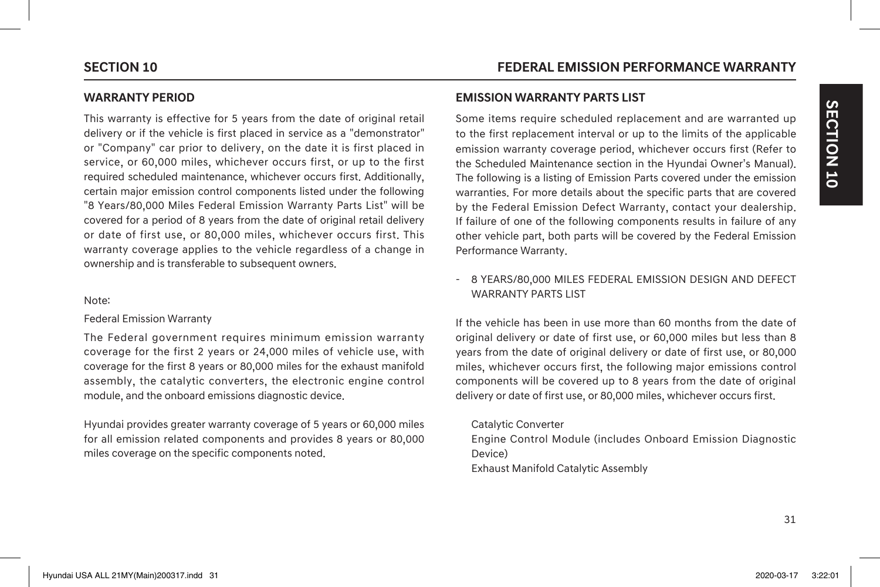### **WARRANTY PERIOD**

This warranty is effective for 5 years from the date of original retail delivery or if the vehicle is first placed in service as a "demonstrator" or "Company" car prior to delivery, on the date it is first placed in service, or 60,000 miles, whichever occurs first, or up to the first required scheduled maintenance, whichever occurs first. Additionally, certain major emission control components listed under the following "8 Years/80,000 Miles Federal Emission Warranty Parts List" will be covered for a period of 8 years from the date of original retail delivery or date of first use, or 80,000 miles, whichever occurs first. This warranty coverage applies to the vehicle regardless of a change in ownership and is transferable to subsequent owners.

### Note:

### Federal Emission Warranty

The Federal government requires minimum emission warranty coverage for the first 2 years or 24,000 miles of vehicle use, with coverage for the first 8 years or 80,000 miles for the exhaust manifold assembly, the catalytic converters, the electronic engine control module, and the onboard emissions diagnostic device.

Hyundai provides greater warranty coverage of 5 years or 60,000 miles for all emission related components and provides 8 years or 80,000 miles coverage on the specific components noted.

### **EMISSION WARRANTY PARTS LIST**

Some items require scheduled replacement and are warranted up to the first replacement interval or up to the limits of the applicable emission warranty coverage period, whichever occurs first (Refer to the Scheduled Maintenance section in the Hyundai Owner's Manual). The following is a listing of Emission Parts covered under the emission warranties. For more details about the specific parts that are covered by the Federal Emission Defect Warranty, contact your dealership. If failure of one of the following components results in failure of any other vehicle part, both parts will be covered by the Federal Emission Performance Warranty.

### - 8 YEARS/80,000 MILES FEDERAL EMISSION DESIGN AND DEFECT WARRANTY PARTS LIST

If the vehicle has been in use more than 60 months from the date of original delivery or date of first use, or 60,000 miles but less than 8 years from the date of original delivery or date of first use, or 80,000 miles, whichever occurs first, the following major emissions control components will be covered up to 8 years from the date of original delivery or date of first use, or 80,000 miles, whichever occurs first.

### Catalytic Converter

Engine Control Module (includes Onboard Emission Diagnostic Device) Exhaust Manifold Catalytic Assembly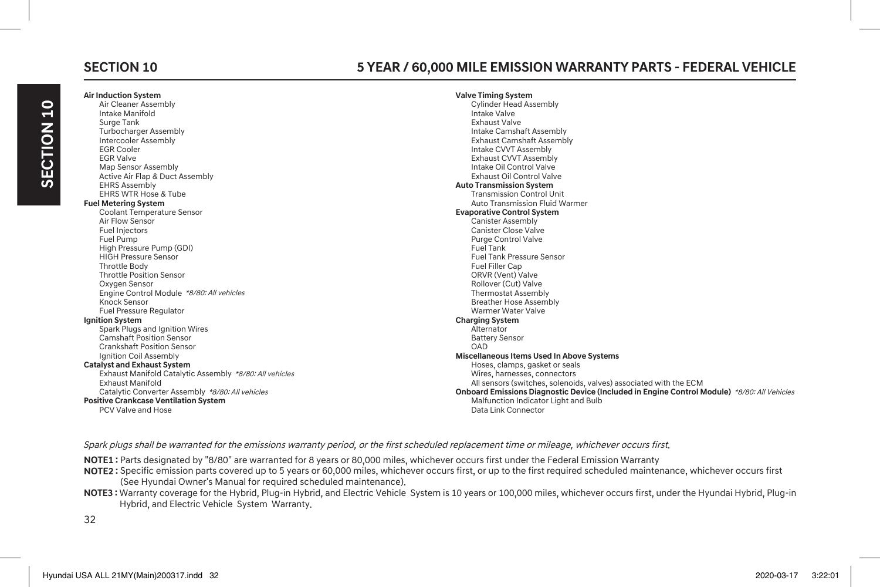# **Air Induction System**

# **SECTION 10 5 YEAR / 60,000 MILE EMISSION WARRANTY PARTS - FEDERAL VEHICLE**

**Valve Timing System**

| An muuttion Jystem                                      | vaive riming oystem                                                                         |
|---------------------------------------------------------|---------------------------------------------------------------------------------------------|
| Air Cleaner Assembly                                    | <b>Cylinder Head Assembly</b>                                                               |
| Intake Manifold                                         | Intake Valve                                                                                |
| Surge Tank                                              | <b>Exhaust Valve</b>                                                                        |
| <b>Turbocharger Assembly</b>                            | Intake Camshaft Assembly                                                                    |
| Intercooler Assembly                                    | <b>Exhaust Camshaft Assembly</b>                                                            |
| <b>EGR Cooler</b>                                       | Intake CVVT Assembly                                                                        |
| <b>EGR Valve</b>                                        | <b>Exhaust CVVT Assembly</b>                                                                |
| Map Sensor Assembly                                     | Intake Oil Control Valve                                                                    |
| Active Air Flap & Duct Assembly                         | Exhaust Oil Control Valve                                                                   |
| <b>EHRS Assembly</b>                                    | <b>Auto Transmission System</b>                                                             |
| EHRS WTR Hose & Tube                                    | <b>Transmission Control Unit</b>                                                            |
| <b>Fuel Metering System</b>                             | Auto Transmission Fluid Warmer                                                              |
| <b>Coolant Temperature Sensor</b>                       | <b>Evaporative Control System</b>                                                           |
| Air Flow Sensor                                         | <b>Canister Assembly</b>                                                                    |
| Fuel Injectors                                          | <b>Canister Close Valve</b>                                                                 |
| Fuel Pump                                               | <b>Purge Control Valve</b>                                                                  |
| High Pressure Pump (GDI)                                | Fuel Tank                                                                                   |
| <b>HIGH Pressure Sensor</b>                             | <b>Fuel Tank Pressure Sensor</b>                                                            |
| <b>Throttle Body</b>                                    | <b>Fuel Filler Cap</b>                                                                      |
| <b>Throttle Position Sensor</b>                         | ORVR (Vent) Valve                                                                           |
| Oxygen Sensor                                           | Rollover (Cut) Valve                                                                        |
| Engine Control Module *8/80: All vehicles               | <b>Thermostat Assembly</b>                                                                  |
| Knock Sensor                                            | <b>Breather Hose Assembly</b>                                                               |
| <b>Fuel Pressure Regulator</b>                          | Warmer Water Valve                                                                          |
| <b>Ignition System</b>                                  | <b>Charging System</b>                                                                      |
| Spark Plugs and Ignition Wires                          | Alternator                                                                                  |
| <b>Camshaft Position Sensor</b>                         | <b>Battery Sensor</b>                                                                       |
| <b>Crankshaft Position Sensor</b>                       | OAD                                                                                         |
| Ignition Coil Assembly                                  | <b>Miscellaneous Items Used In Above Systems</b>                                            |
| <b>Catalyst and Exhaust System</b>                      | Hoses, clamps, gasket or seals                                                              |
| Exhaust Manifold Catalytic Assembly *8/80: All vehicles | Wires, harnesses, connectors                                                                |
| <b>Exhaust Manifold</b>                                 | All sensors (switches, solenoids, valves) associated with the ECM                           |
| Catalytic Converter Assembly *8/80: All vehicles        | Onboard Emissions Diagnostic Device (Included in Engine Control Module) *8/80: All Vehicles |
| <b>Positive Crankcase Ventilation System</b>            | Malfunction Indicator Light and Bulb                                                        |
| <b>PCV Valve and Hose</b>                               | Data Link Connector                                                                         |
|                                                         |                                                                                             |

Spark plugs shall be warranted for the emissions warranty period, or the first scheduled replacement time or mileage, whichever occurs first.

**NOTE1 :** Parts designated by "8/80" are warranted for 8 years or 80,000 miles, whichever occurs first under the Federal Emission Warranty

**NOTE2 :** Specific emission parts covered up to 5 years or 60,000 miles, whichever occurs first, or up to the first required scheduled maintenance, whichever occurs first (See Hyundai Owner's Manual for required scheduled maintenance).

**NOTE3 :** Warranty coverage for the Hybrid, Plug-in Hybrid, and Electric Vehicle System is 10 years or 100,000 miles, whichever occurs first, under the Hyundai Hybrid, Plug-in Hybrid, and Electric Vehicle System Warranty.

32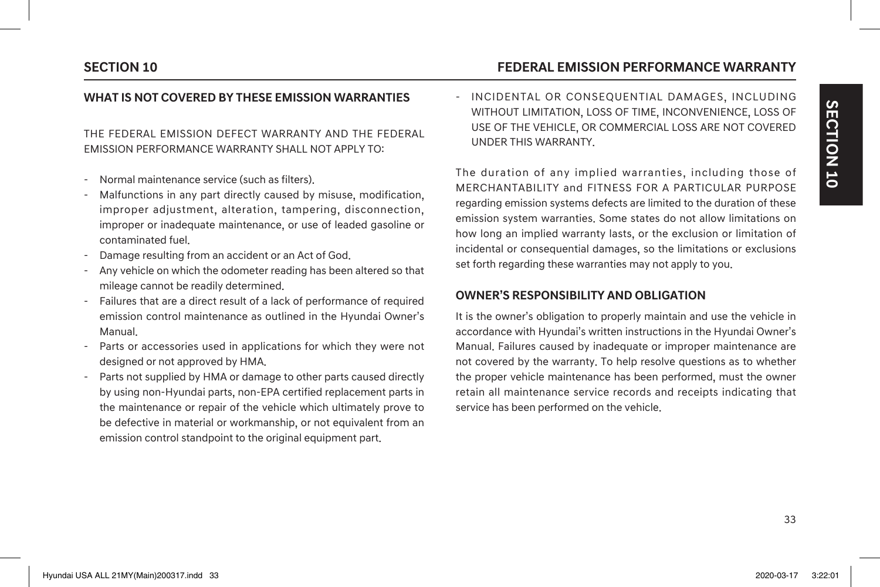# **SECTION 10 FEDERAL EMISSION PERFORMANCE WARRANTY**

### **WHAT IS NOT COVERED BY THESE EMISSION WARRANTIES**

### THE FEDERAL EMISSION DEFECT WARRANTY AND THE FEDERAL EMISSION PERFORMANCE WARRANTY SHALL NOT APPLY TO:

- Normal maintenance service (such as filters).
- Malfunctions in any part directly caused by misuse, modification, improper adjustment, alteration, tampering, disconnection, improper or inadequate maintenance, or use of leaded gasoline or contaminated fuel.
- Damage resulting from an accident or an Act of God.
- Any vehicle on which the odometer reading has been altered so that mileage cannot be readily determined.
- Failures that are a direct result of a lack of performance of required emission control maintenance as outlined in the Hyundai Owner's Manual.
- Parts or accessories used in applications for which they were not designed or not approved by HMA.
- Parts not supplied by HMA or damage to other parts caused directly by using non-Hyundai parts, non-EPA certified replacement parts in the maintenance or repair of the vehicle which ultimately prove to be defective in material or workmanship, or not equivalent from an emission control standpoint to the original equipment part.

- INCIDENTAL OR CONSEQUENTIAL DAMAGES, INCLUDING WITHOUT LIMITATION, LOSS OF TIME, INCONVENIENCE, LOSS OF USE OF THE VEHICLE, OR COMMERCIAL LOSS ARE NOT COVERED UNDER THIS WARRANTY.

The duration of any implied warranties, including those of MERCHANTABILITY and FITNESS FOR A PARTICULAR PURPOSE regarding emission systems defects are limited to the duration of these emission system warranties. Some states do not allow limitations on how long an implied warranty lasts, or the exclusion or limitation of incidental or consequential damages, so the limitations or exclusions set forth regarding these warranties may not apply to you.

### **OWNER'S RESPONSIBILITY AND OBLIGATION**

It is the owner's obligation to properly maintain and use the vehicle in accordance with Hyundai's written instructions in the Hyundai Owner's Manual. Failures caused by inadequate or improper maintenance are not covered by the warranty. To help resolve questions as to whether the proper vehicle maintenance has been performed, must the owner retain all maintenance service records and receipts indicating that service has been performed on the vehicle.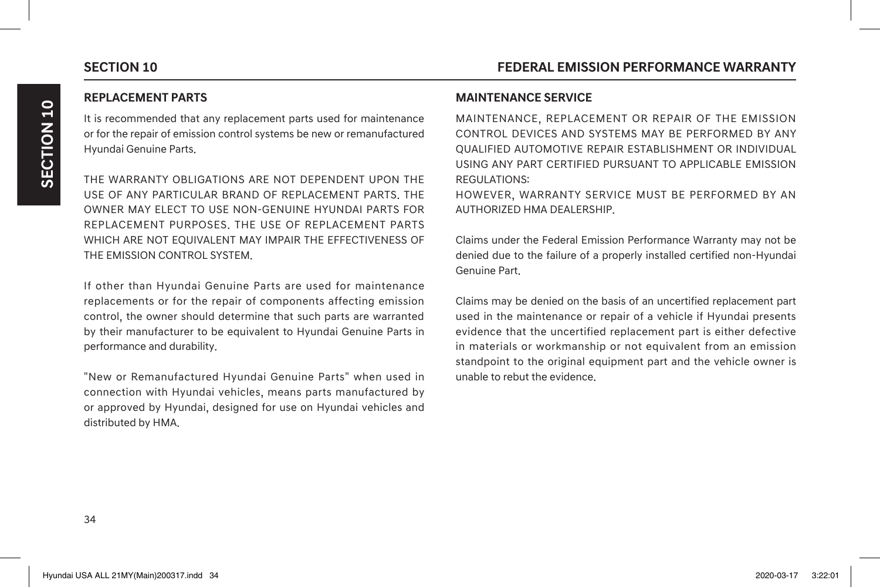### **REPLACEMENT PARTS**

It is recommended that any replacement parts used for maintenance or for the repair of emission control systems be new or remanufactured Hyundai Genuine Parts.

THE WARRANTY OBLIGATIONS ARE NOT DEPENDENT UPON THE USE OF ANY PARTICULAR BRAND OF REPLACEMENT PARTS. THE OWNER MAY ELECT TO USE NON-GENUINE HYUNDAI PARTS FOR REPLACEMENT PURPOSES. THE USE OF REPLACEMENT PARTS WHICH ARE NOT EQUIVALENT MAY IMPAIR THE EFFECTIVENESS OF THE EMISSION CONTROL SYSTEM.

If other than Hyundai Genuine Parts are used for maintenance replacements or for the repair of components affecting emission control, the owner should determine that such parts are warranted by their manufacturer to be equivalent to Hyundai Genuine Parts in performance and durability.

"New or Remanufactured Hyundai Genuine Parts" when used in connection with Hyundai vehicles, means parts manufactured by or approved by Hyundai, designed for use on Hyundai vehicles and distributed by HMA.

### **MAINTENANCE SERVICE**

MAINTENANCE, REPLACEMENT OR REPAIR OF THE EMISSION CONTROL DEVICES AND SYSTEMS MAY BE PERFORMED BY ANY QUALIFIED AUTOMOTIVE REPAIR ESTABLISHMENT OR INDIVIDUAL USING ANY PART CERTIFIED PURSUANT TO APPLICABLE EMISSION REGULATIONS:

HOWEVER, WARRANTY SERVICE MUST BE PERFORMED BY AN AUTHORIZED HMA DEALERSHIP.

Claims under the Federal Emission Performance Warranty may not be denied due to the failure of a properly installed certified non-Hyundai Genuine Part.

Claims may be denied on the basis of an uncertified replacement part used in the maintenance or repair of a vehicle if Hyundai presents evidence that the uncertified replacement part is either defective in materials or workmanship or not equivalent from an emission standpoint to the original equipment part and the vehicle owner is unable to rebut the evidence.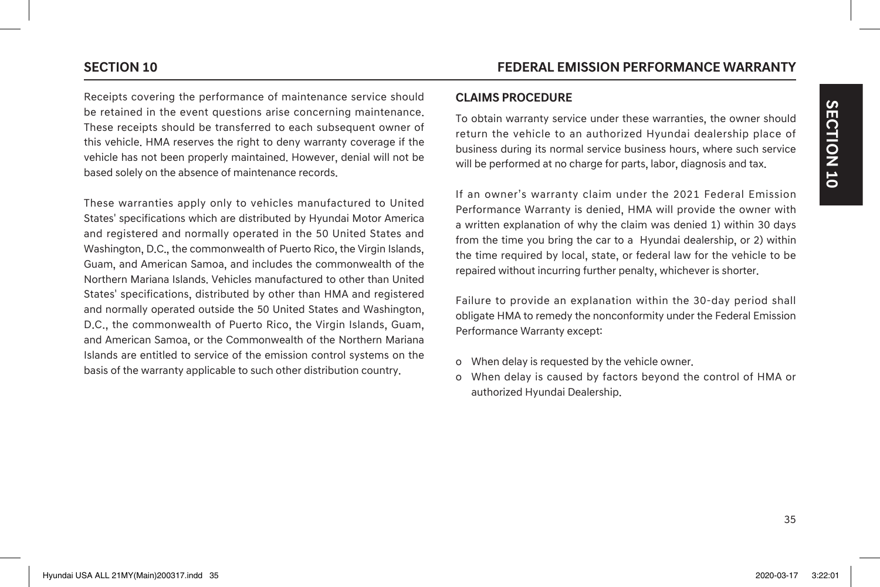Receipts covering the performance of maintenance service should be retained in the event questions arise concerning maintenance. These receipts should be transferred to each subsequent owner of this vehicle. HMA reserves the right to deny warranty coverage if the vehicle has not been properly maintained. However, denial will not be based solely on the absence of maintenance records.

These warranties apply only to vehicles manufactured to United States' specifications which are distributed by Hyundai Motor America and registered and normally operated in the 50 United States and Washington, D.C., the commonwealth of Puerto Rico, the Virgin Islands, Guam, and American Samoa, and includes the commonwealth of the Northern Mariana Islands. Vehicles manufactured to other than United States' specifications, distributed by other than HMA and registered and normally operated outside the 50 United States and Washington, D.C., the commonwealth of Puerto Rico, the Virgin Islands, Guam, and American Samoa, or the Commonwealth of the Northern Mariana Islands are entitled to service of the emission control systems on the basis of the warranty applicable to such other distribution country.

### **CLAIMS PROCEDURE**

To obtain warranty service under these warranties, the owner should return the vehicle to an authorized Hyundai dealership place of business during its normal service business hours, where such service will be performed at no charge for parts, labor, diagnosis and tax.

If an owner's warranty claim under the 2021 Federal Emission Performance Warranty is denied, HMA will provide the owner with a written explanation of why the claim was denied 1) within 30 days from the time you bring the car to a Hyundai dealership, or 2) within the time required by local, state, or federal law for the vehicle to be repaired without incurring further penalty, whichever is shorter.

Failure to provide an explanation within the 30-day period shall obligate HMA to remedy the nonconformity under the Federal Emission Performance Warranty except:

- o When delay is requested by the vehicle owner.
- o When delay is caused by factors beyond the control of HMA or authorized Hyundai Dealership.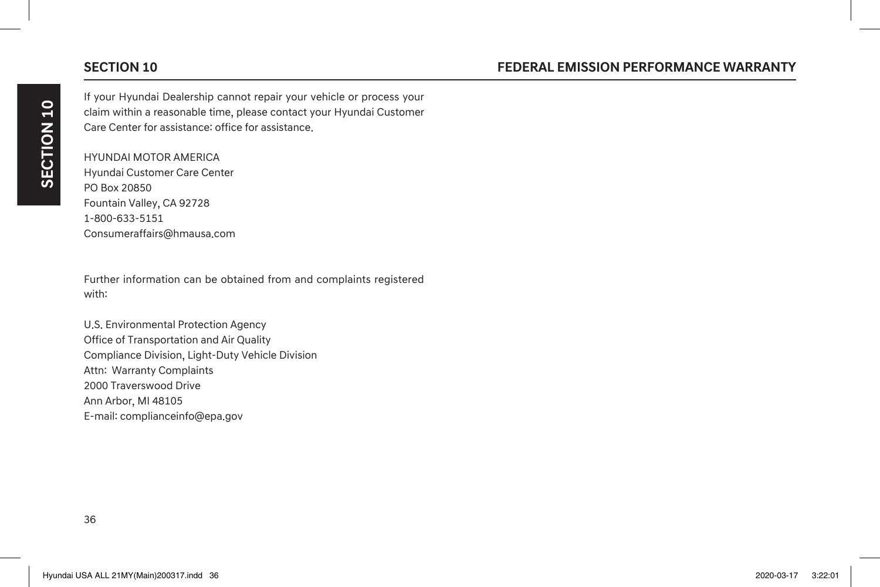If your Hyundai Dealership cannot repair your vehicle or process your claim within a reasonable time, please contact your Hyundai Customer Care Center for assistance: office for assistance.

HYUNDAI MOTOR AMERICA Hyundai Customer Care Center PO Box 20850 Fountain Valley, CA 92728 1-800-633-5151 Consumeraffairs@hmausa.com

Further information can be obtained from and complaints registered with:

U.S. Environmental Protection Agency Office of Transportation and Air Quality Compliance Division, Light-Duty Vehicle Division Attn: Warranty Complaints 2000 Traverswood Drive Ann Arbor, MI 48105 E-mail: complianceinfo@epa.gov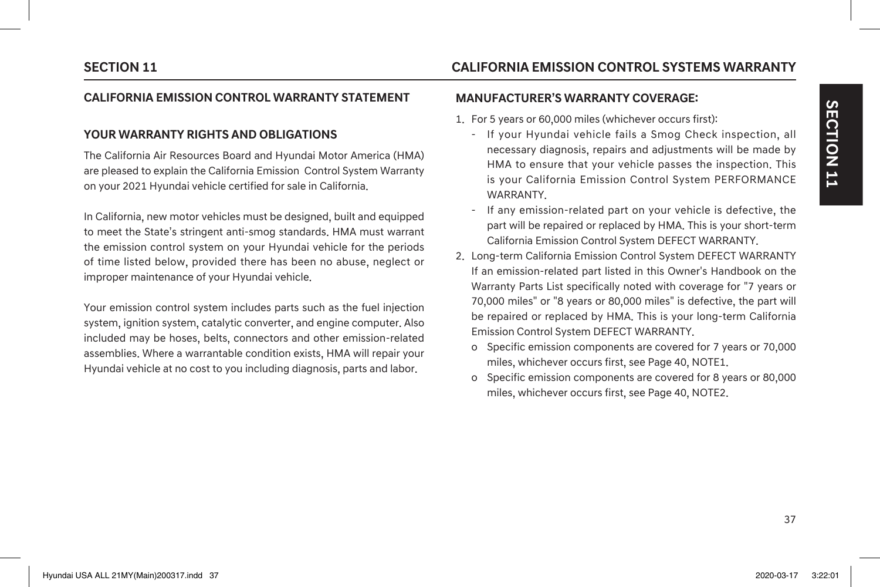### **CALIFORNIA EMISSION CONTROL WARRANTY STATEMENT**

### **YOUR WARRANTY RIGHTS AND OBLIGATIONS**

The California Air Resources Board and Hyundai Motor America (HMA) are pleased to explain the California Emission Control System Warranty on your 2021 Hyundai vehicle certified for sale in California.

In California, new motor vehicles must be designed, built and equipped to meet the State's stringent anti-smog standards. HMA must warrant the emission control system on your Hyundai vehicle for the periods of time listed below, provided there has been no abuse, neglect or improper maintenance of your Hyundai vehicle.

Your emission control system includes parts such as the fuel injection system, ignition system, catalytic converter, and engine computer. Also included may be hoses, belts, connectors and other emission-related assemblies. Where a warrantable condition exists, HMA will repair your Hyundai vehicle at no cost to you including diagnosis, parts and labor.

# **SECTION 11 CALIFORNIA EMISSION CONTROL SYSTEMS WARRANTY**

### **MANUFACTURER'S WARRANTY COVERAGE:**

- 1. For 5 years or 60,000 miles (whichever occurs first):
	- If your Hyundai vehicle fails a Smog Check inspection, all necessary diagnosis, repairs and adjustments will be made by HMA to ensure that your vehicle passes the inspection. This is your California Emission Control System PERFORMANCE WARRANTY.
	- If any emission-related part on your vehicle is defective, the part will be repaired or replaced by HMA. This is your short-term California Emission Control System DEFECT WARRANTY.
- 2. Long-term California Emission Control System DEFECT WARRANTY If an emission-related part listed in this Owner's Handbook on the Warranty Parts List specifically noted with coverage for "7 years or 70,000 miles" or "8 years or 80,000 miles" is defective, the part will be repaired or replaced by HMA. This is your long-term California Emission Control System DEFECT WARRANTY.
	- o Specific emission components are covered for 7 years or 70,000 miles, whichever occurs first, see Page 40, NOTE1.
	- o Specific emission components are covered for 8 years or 80,000 miles, whichever occurs first, see Page 40, NOTE2.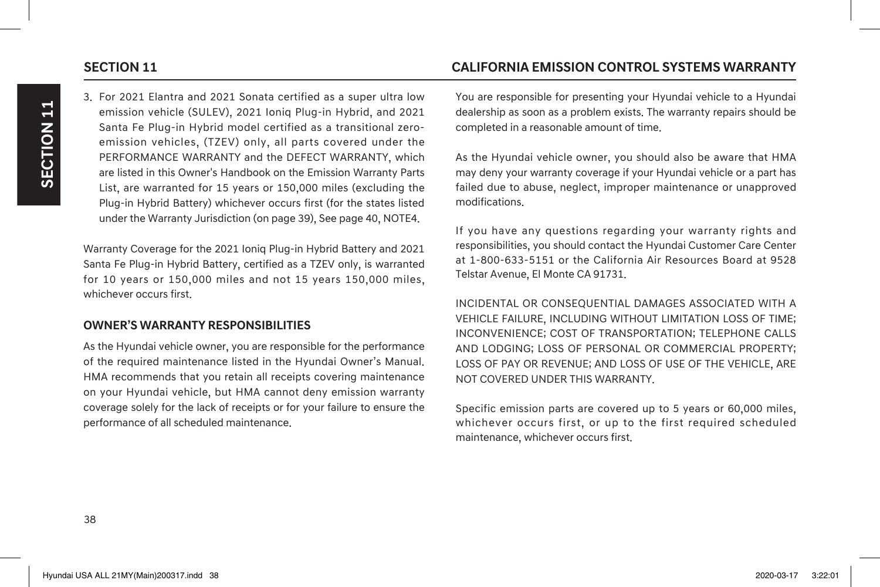3. For 2021 Elantra and 2021 Sonata certified as a super ultra low emission vehicle (SULEV), 2021 Ioniq Plug-in Hybrid, and 2021 Santa Fe Plug-in Hybrid model certified as a transitional zeroemission vehicles, (TZEV) only, all parts covered under the PERFORMANCE WARRANTY and the DEFECT WARRANTY, which are listed in this Owner's Handbook on the Emission Warranty Parts List, are warranted for 15 years or 150,000 miles (excluding the Plug-in Hybrid Battery) whichever occurs first (for the states listed under the Warranty Jurisdiction (on page 39), See page 40, NOTE4.

Warranty Coverage for the 2021 Ioniq Plug-in Hybrid Battery and 2021 Santa Fe Plug-in Hybrid Battery, certified as a TZEV only, is warranted for 10 years or 150,000 miles and not 15 years 150,000 miles, whichever occurs first.

## **OWNER'S WARRANTY RESPONSIBILITIES**

As the Hyundai vehicle owner, you are responsible for the performance of the required maintenance listed in the Hyundai Owner's Manual. HMA recommends that you retain all receipts covering maintenance on your Hyundai vehicle, but HMA cannot deny emission warranty coverage solely for the lack of receipts or for your failure to ensure the performance of all scheduled maintenance.

# **SECTION 11 CALIFORNIA EMISSION CONTROL SYSTEMS WARRANTY**

You are responsible for presenting your Hyundai vehicle to a Hyundai dealership as soon as a problem exists. The warranty repairs should be completed in a reasonable amount of time.

As the Hyundai vehicle owner, you should also be aware that HMA may deny your warranty coverage if your Hyundai vehicle or a part has failed due to abuse, neglect, improper maintenance or unapproved modifications.

If you have any questions regarding your warranty rights and responsibilities, you should contact the Hyundai Customer Care Center at 1-800-633-5151 or the California Air Resources Board at 9528 Telstar Avenue, El Monte CA 91731.

INCIDENTAL OR CONSEQUENTIAL DAMAGES ASSOCIATED WITH A VEHICLE FAILURE, INCLUDING WITHOUT LIMITATION LOSS OF TIME; INCONVENIENCE; COST OF TRANSPORTATION; TELEPHONE CALLS AND LODGING; LOSS OF PERSONAL OR COMMERCIAL PROPERTY; LOSS OF PAY OR REVENUE; AND LOSS OF USE OF THE VEHICLE, ARE NOT COVERED UNDER THIS WARRANTY.

Specific emission parts are covered up to 5 years or 60,000 miles, whichever occurs first, or up to the first required scheduled maintenance, whichever occurs first.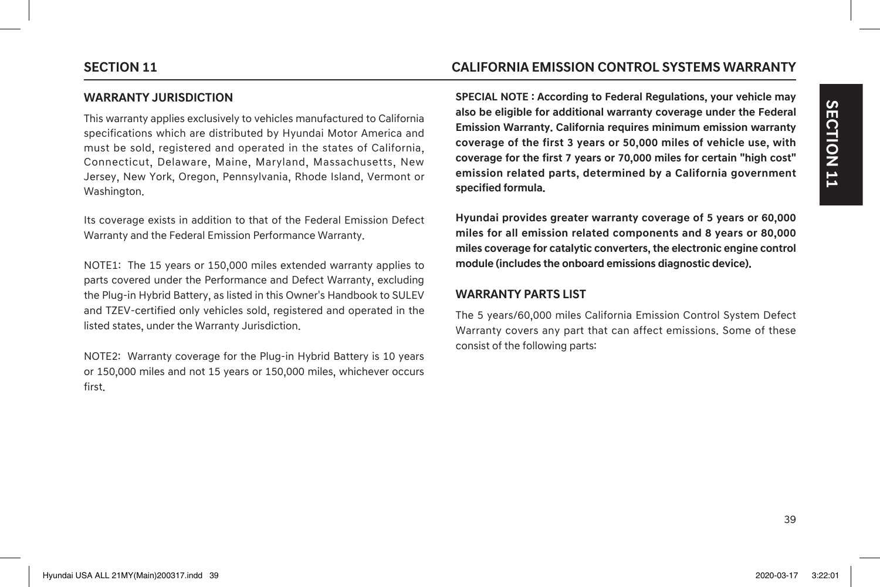# **SECTION 11 CALIFORNIA EMISSION CONTROL SYSTEMS WARRANTY**

This warranty applies exclusively to vehicles manufactured to California specifications which are distributed by Hyundai Motor America and must be sold, registered and operated in the states of California, Connecticut, Delaware, Maine, Maryland, Massachusetts, New Jersey, New York, Oregon, Pennsylvania, Rhode Island, Vermont or Washington.

Its coverage exists in addition to that of the Federal Emission Defect Warranty and the Federal Emission Performance Warranty.

NOTE1: The 15 years or 150,000 miles extended warranty applies to parts covered under the Performance and Defect Warranty, excluding the Plug-in Hybrid Battery, as listed in this Owner's Handbook to SULEV and TZEV-certified only vehicles sold, registered and operated in the listed states, under the Warranty Jurisdiction.

NOTE2: Warranty coverage for the Plug-in Hybrid Battery is 10 years or 150,000 miles and not 15 years or 150,000 miles, whichever occurs first.

**SPECIAL NOTE : According to Federal Regulations, your vehicle may also be eligible for additional warranty coverage under the Federal Emission Warranty. California requires minimum emission warranty coverage of the first 3 years or 50,000 miles of vehicle use, with coverage for the first 7 years or 70,000 miles for certain "high cost" emission related parts, determined by a California government specified formula.**

**Hyundai provides greater warranty coverage of 5 years or 60,000 miles for all emission related components and 8 years or 80,000 miles coverage for catalytic converters, the electronic engine control module (includes the onboard emissions diagnostic device).**

### **WARRANTY PARTS LIST**

The 5 years/60,000 miles California Emission Control System Defect Warranty covers any part that can affect emissions. Some of these consist of the following parts: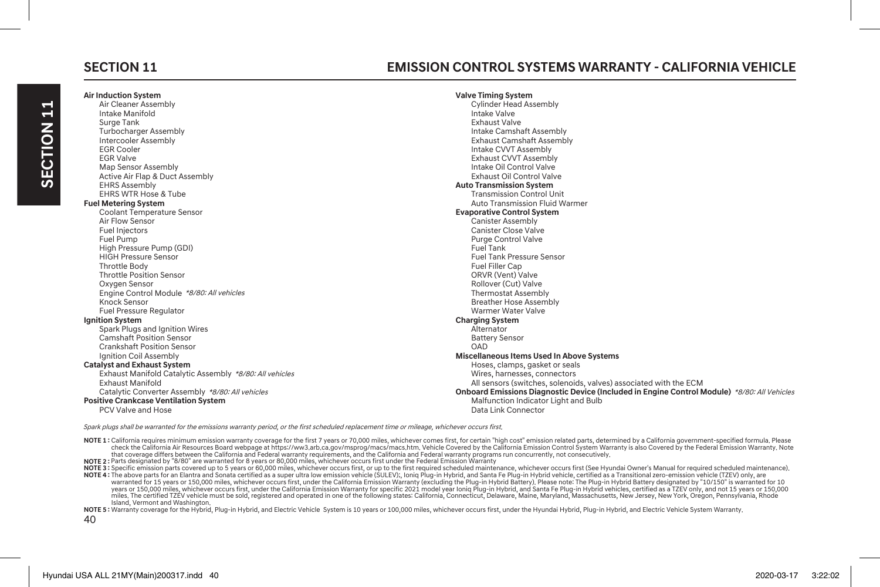# **Air Induction System**

# **SECTION 11 EMISSION CONTROL SYSTEMS WARRANTY - CALIFORNIA VEHICLE**

| Air Cleaner Assembly                                    | <b>Cylinder Head Assembly</b>                                                               |
|---------------------------------------------------------|---------------------------------------------------------------------------------------------|
| Intake Manifold                                         | Intake Valve                                                                                |
| Surge Tank                                              | <b>Exhaust Valve</b>                                                                        |
| <b>Turbocharger Assembly</b>                            | Intake Camshaft Assembly                                                                    |
| Intercooler Assembly                                    | <b>Exhaust Camshaft Assembly</b>                                                            |
| <b>EGR Cooler</b>                                       | Intake CVVT Assembly                                                                        |
| <b>EGR Valve</b>                                        | <b>Exhaust CVVT Assembly</b>                                                                |
| Map Sensor Assembly                                     | Intake Oil Control Valve                                                                    |
| Active Air Flap & Duct Assembly                         | Exhaust Oil Control Valve                                                                   |
| <b>EHRS Assembly</b>                                    | <b>Auto Transmission System</b>                                                             |
| <b>EHRS WTR Hose &amp; Tube</b>                         | <b>Transmission Control Unit</b>                                                            |
| <b>Fuel Metering System</b>                             | Auto Transmission Fluid Warmer                                                              |
| <b>Coolant Temperature Sensor</b>                       | <b>Evaporative Control System</b>                                                           |
| Air Flow Sensor                                         | <b>Canister Assembly</b>                                                                    |
| Fuel Injectors                                          | <b>Canister Close Valve</b>                                                                 |
| Fuel Pump                                               | <b>Purge Control Valve</b>                                                                  |
| High Pressure Pump (GDI)                                | Fuel Tank                                                                                   |
| <b>HIGH Pressure Sensor</b>                             | <b>Fuel Tank Pressure Sensor</b>                                                            |
| Throttle Body                                           | Fuel Filler Cap                                                                             |
| <b>Throttle Position Sensor</b>                         | ORVR (Vent) Valve                                                                           |
| Oxygen Sensor                                           | Rollover (Cut) Valve                                                                        |
| Engine Control Module *8/80: All vehicles               | <b>Thermostat Assembly</b>                                                                  |
| Knock Sensor                                            | <b>Breather Hose Assembly</b>                                                               |
| <b>Fuel Pressure Regulator</b>                          | Warmer Water Valve                                                                          |
| Ignition System                                         | <b>Charging System</b>                                                                      |
| Spark Plugs and Ignition Wires                          | Alternator                                                                                  |
| <b>Camshaft Position Sensor</b>                         | <b>Battery Sensor</b>                                                                       |
| <b>Crankshaft Position Sensor</b>                       | OAD                                                                                         |
| Ignition Coil Assembly                                  | Miscellaneous Items Used In Above Systems                                                   |
| <b>Catalyst and Exhaust System</b>                      | Hoses, clamps, gasket or seals                                                              |
| Exhaust Manifold Catalytic Assembly *8/80: All vehicles | Wires, harnesses, connectors                                                                |
| <b>Exhaust Manifold</b>                                 | All sensors (switches, solenoids, valves) associated with the ECM                           |
| Catalytic Converter Assembly *8/80: All vehicles        | Onboard Emissions Diagnostic Device (Included in Engine Control Module) *8/80: All Vehicles |
| <b>Positive Crankcase Ventilation System</b>            | Malfunction Indicator Light and Bulb                                                        |
| <b>PCV Valve and Hose</b>                               | Data Link Connector                                                                         |

**Valve Timing System**

Spark plugs shall be warranted for the emissions warranty period, or the first scheduled replacement time or mileage, whichever occurs first.

NOTE 1: California requires minimum emission warranty coverage for the first 7 years or 70,000 miles, whichever comes first, for certain "high cost" emission related parts, determined by a California government-specified f that coverage differs between the California and Federal warranty requirements, and the California and Federal warranty programs run concurrently, not consecutively.

**NOTE 2 :** Parts designated by "8/80" are warranted for 8 years or 80,000 miles, whichever occurs first under the Federal Emission Warranty

NOTE3:Specific emission parts covered up to S years or 60,000 miles, whichever occurs first, or up to the first required scheduled maintenance, whichever occurs first (See Hyundia Owner's MOTE3: The Superinted as a Transit

warranted for 15 years or 150,000 miles, whichever occurs first, under the California Emission Warranty (excluding the Plug-in Hybrid Battery). Please note: The Plug-in Hybrid Battery designated by "10/150" is warranted fo years or 150,000 miles, whichever occurs first, under the California Emission Warranty for specific 2021 model year loniq Plug-in Hybrid, and Santa Fe Plug-in Hybrid vehicles certified as a TZEV vehicle must be speaking th Island, Vermont and Washington.

NOTE 5: Warranty coverage for the Hybrid, Plug-in Hybrid, and Electric Vehicle System is 10 years or 100,000 miles, whichever occurs first, under the Hyundai Hybrid, Plug-in Hybrid, and Electric Vehicle System Warranty,

40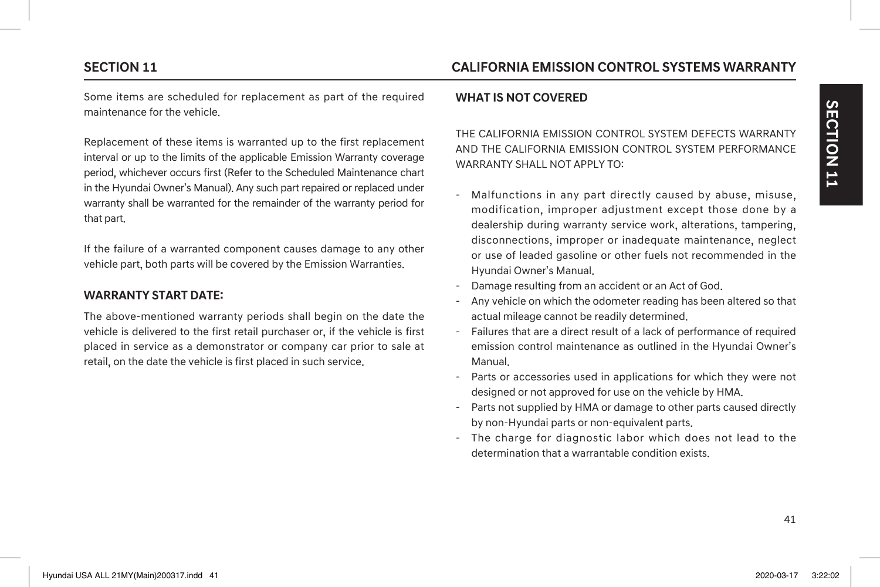# **SECTION 11 CALIFORNIA EMISSION CONTROL SYSTEMS WARRANTY**

Some items are scheduled for replacement as part of the required maintenance for the vehicle.

Replacement of these items is warranted up to the first replacement interval or up to the limits of the applicable Emission Warranty coverage period, whichever occurs first (Refer to the Scheduled Maintenance chart in the Hyundai Owner's Manual). Any such part repaired or replaced under warranty shall be warranted for the remainder of the warranty period for that part.

If the failure of a warranted component causes damage to any other vehicle part, both parts will be covered by the Emission Warranties.

### **WARRANTY START DATE:**

The above-mentioned warranty periods shall begin on the date the vehicle is delivered to the first retail purchaser or, if the vehicle is first placed in service as a demonstrator or company car prior to sale at retail, on the date the vehicle is first placed in such service.

### **WHAT IS NOT COVERED**

THE CALIFORNIA EMISSION CONTROL SYSTEM DEFECTS WARRANTY AND THE CALIFORNIA EMISSION CONTROL SYSTEM PERFORMANCE WARRANTY SHALL NOT APPLY TO:

- Malfunctions in any part directly caused by abuse, misuse, modification, improper adjustment except those done by a dealership during warranty service work, alterations, tampering, disconnections, improper or inadequate maintenance, neglect or use of leaded gasoline or other fuels not recommended in the Hyundai Owner's Manual.
- Damage resulting from an accident or an Act of God.
- Any vehicle on which the odometer reading has been altered so that actual mileage cannot be readily determined.
- Failures that are a direct result of a lack of performance of required emission control maintenance as outlined in the Hyundai Owner's Manual.
- Parts or accessories used in applications for which they were not designed or not approved for use on the vehicle by HMA.
- Parts not supplied by HMA or damage to other parts caused directly by non-Hyundai parts or non-equivalent parts.
- The charge for diagnostic labor which does not lead to the determination that a warrantable condition exists.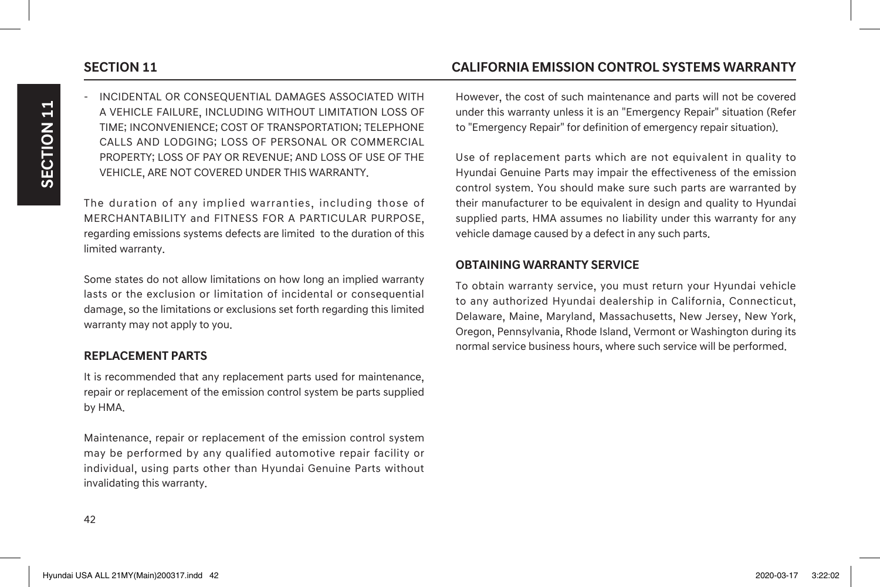- INCIDENTAL OR CONSEQUENTIAL DAMAGES ASSOCIATED WITH A VEHICLE FAILURE, INCLUDING WITHOUT LIMITATION LOSS OF TIME; INCONVENIENCE; COST OF TRANSPORTATION; TELEPHONE CALLS AND LODGING; LOSS OF PERSONAL OR COMMERCIAL PROPERTY; LOSS OF PAY OR REVENUE; AND LOSS OF USE OF THE VEHICLE, ARE NOT COVERED UNDER THIS WARRANTY.

The duration of any implied warranties, including those of MERCHANTABILITY and FITNESS FOR A PARTICULAR PURPOSE, regarding emissions systems defects are limited to the duration of this limited warranty.

Some states do not allow limitations on how long an implied warranty lasts or the exclusion or limitation of incidental or consequential damage, so the limitations or exclusions set forth regarding this limited warranty may not apply to you.

### **REPLACEMENT PARTS**

It is recommended that any replacement parts used for maintenance, repair or replacement of the emission control system be parts supplied by HMA.

Maintenance, repair or replacement of the emission control system may be performed by any qualified automotive repair facility or individual, using parts other than Hyundai Genuine Parts without invalidating this warranty.

# **SECTION 11 CALIFORNIA EMISSION CONTROL SYSTEMS WARRANTY**

However, the cost of such maintenance and parts will not be covered under this warranty unless it is an "Emergency Repair" situation (Refer to "Emergency Repair" for definition of emergency repair situation).

Use of replacement parts which are not equivalent in quality to Hyundai Genuine Parts may impair the effectiveness of the emission control system. You should make sure such parts are warranted by their manufacturer to be equivalent in design and quality to Hyundai supplied parts. HMA assumes no Iiability under this warranty for any vehicle damage caused by a defect in any such parts.

### **OBTAINING WARRANTY SERVICE**

To obtain warranty service, you must return your Hyundai vehicle to any authorized Hyundai dealership in California, Connecticut, Delaware, Maine, Maryland, Massachusetts, New Jersey, New York, Oregon, Pennsylvania, Rhode Island, Vermont or Washington during its normal service business hours, where such service will be performed.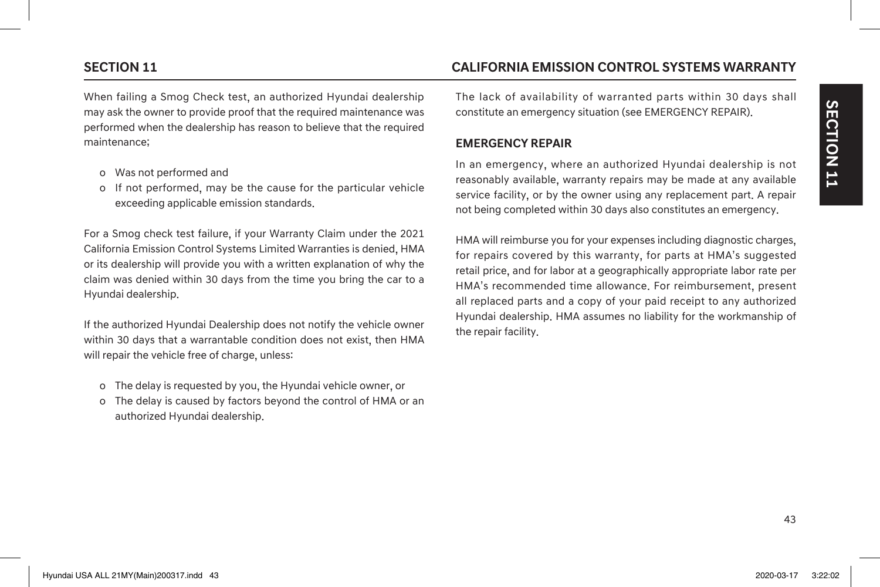When failing a Smog Check test, an authorized Hyundai dealership may ask the owner to provide proof that the required maintenance was performed when the dealership has reason to believe that the required maintenance;

- o Was not performed and
- o If not performed, may be the cause for the particular vehicle exceeding applicable emission standards.

For a Smog check test failure, if your Warranty Claim under the 2021 California Emission Control Systems Limited Warranties is denied, HMA or its dealership will provide you with a written explanation of why the claim was denied within 30 days from the time you bring the car to a Hyundai dealership.

If the authorized Hyundai Dealership does not notify the vehicle owner within 30 days that a warrantable condition does not exist, then HMA will repair the vehicle free of charge, unless:

- o The delay is requested by you, the Hyundai vehicle owner, or
- o The delay is caused by factors beyond the control of HMA or an authorized Hyundai dealership.

# **SECTION 11 CALIFORNIA EMISSION CONTROL SYSTEMS WARRANTY**

The lack of availability of warranted parts within 30 days shall constitute an emergency situation (see EMERGENCY REPAIR).

### **EMERGENCY REPAIR**

In an emergency, where an authorized Hyundai dealership is not reasonably available, warranty repairs may be made at any available service facility, or by the owner using any replacement part. A repair not being completed within 30 days also constitutes an emergency.

HMA will reimburse you for your expenses including diagnostic charges, for repairs covered by this warranty, for parts at HMA's suggested retail price, and for labor at a geographically appropriate labor rate per HMA's recommended time allowance. For reimbursement, present all replaced parts and a copy of your paid receipt to any authorized Hyundai dealership. HMA assumes no liability for the workmanship of the repair facility.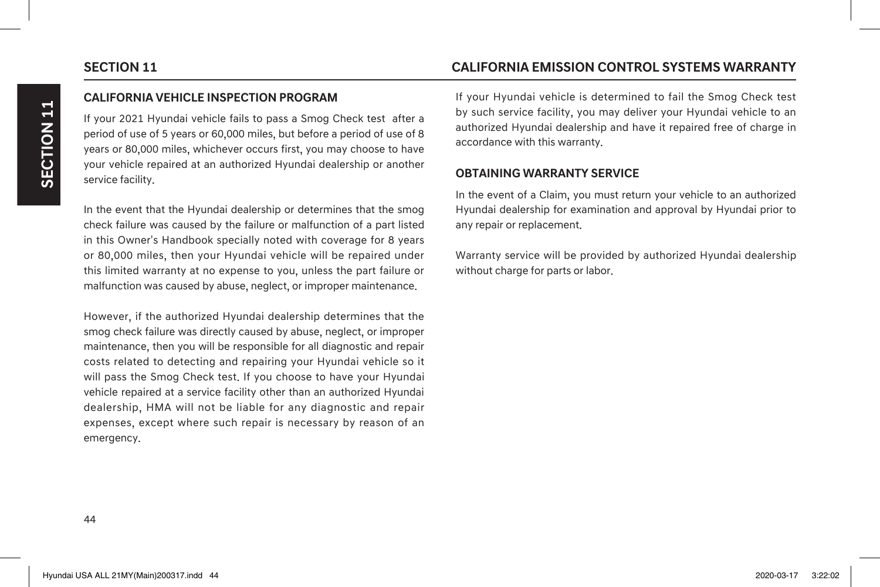### **CALIFORNIA VEHICLE INSPECTION PROGRAM**

If your 2021 Hyundai vehicle fails to pass a Smog Check test after a period of use of 5 years or 60,000 miles, but before a period of use of 8 years or 80,000 miles, whichever occurs first, you may choose to have your vehicle repaired at an authorized Hyundai dealership or another service facility.

In the event that the Hyundai dealership or determines that the smog check failure was caused by the failure or malfunction of a part listed in this Owner's Handbook specially noted with coverage for 8 years or 80,000 miles, then your Hyundai vehicle will be repaired under this limited warranty at no expense to you, unless the part failure or malfunction was caused by abuse, neglect, or improper maintenance.

However, if the authorized Hyundai dealership determines that the smog check failure was directly caused by abuse, neglect, or improper maintenance, then you will be responsible for all diagnostic and repair costs related to detecting and repairing your Hyundai vehicle so it will pass the Smog Check test. If you choose to have your Hyundai vehicle repaired at a service facility other than an authorized Hyundai dealership, HMA will not be liable for any diagnostic and repair expenses, except where such repair is necessary by reason of an emergency.

# **SECTION 11 CALIFORNIA EMISSION CONTROL SYSTEMS WARRANTY**

If your Hyundai vehicle is determined to fail the Smog Check test by such service facility, you may deliver your Hyundai vehicle to an authorized Hyundai dealership and have it repaired free of charge in accordance with this warranty.

### **OBTAINING WARRANTY SERVICE**

In the event of a Claim, you must return your vehicle to an authorized Hyundai dealership for examination and approval by Hyundai prior to any repair or replacement.

Warranty service will be provided by authorized Hyundai dealership without charge for parts or labor.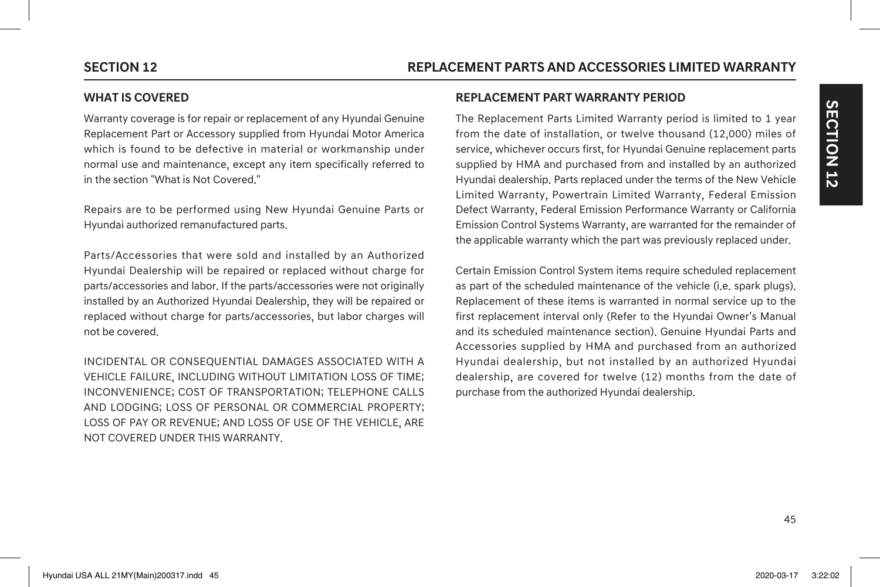### **WHAT IS COVERED**

Warranty coverage is for repair or replacement of any Hyundai Genuine Replacement Part or Accessory supplied from Hyundai Motor America which is found to be defective in material or workmanship under normal use and maintenance, except any item specifically referred to in the section "What is Not Covered."

Repairs are to be performed using New Hyundai Genuine Parts or Hyundai authorized remanufactured parts.

Parts/Accessories that were sold and installed by an Authorized Hyundai Dealership will be repaired or replaced without charge for parts/accessories and labor. If the parts/accessories were not originally installed by an Authorized Hyundai Dealership, they will be repaired or replaced without charge for parts/accessories, but labor charges will not be covered.

INCIDENTAL OR CONSEQUENTIAL DAMAGES ASSOCIATED WITH A VEHICLE FAILURE, INCLUDING WITHOUT LIMITATION LOSS OF TIME; INCONVENIENCE; COST OF TRANSPORTATION; TELEPHONE CALLS AND LODGING; LOSS OF PERSONAL OR COMMERCIAL PROPERTY; LOSS OF PAY OR REVENUE; AND LOSS OF USE OF THE VEHICLE, ARE NOT COVERED UNDER THIS WARRANTY.

### **REPLACEMENT PART WARRANTY PERIOD**

The Replacement Parts Limited Warranty period is limited to 1 year from the date of installation, or twelve thousand (12,000) miles of service, whichever occurs first, for Hyundai Genuine replacement parts supplied by HMA and purchased from and installed by an authorized Hyundai dealership. Parts replaced under the terms of the New Vehicle Limited Warranty, Powertrain Limited Warranty, Federal Emission Defect Warranty, Federal Emission Performance Warranty or California Emission Control Systems Warranty, are warranted for the remainder of the applicable warranty which the part was previously replaced under.

Certain Emission Control System items require scheduled replacement as part of the scheduled maintenance of the vehicle (i.e. spark plugs). Replacement of these items is warranted in normal service up to the first replacement interval only (Refer to the Hyundai Owner's Manual and its scheduled maintenance section). Genuine Hyundai Parts and Accessories supplied by HMA and purchased from an authorized Hyundai dealership, but not installed by an authorized Hyundai dealership, are covered for twelve (12) months from the date of purchase from the authorized Hyundai dealership.

**SECTION 12**

SECTION 12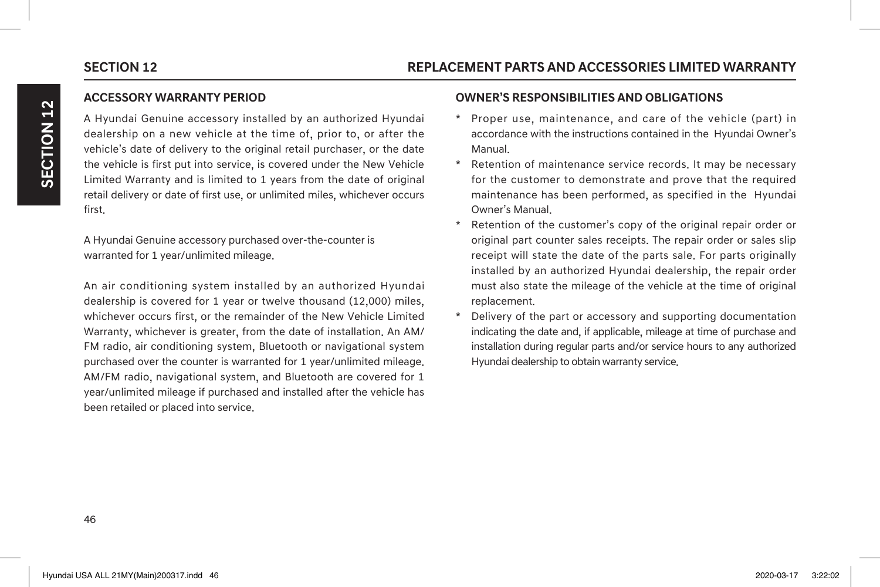### **ACCESSORY WARRANTY PERIOD**

A Hyundai Genuine accessory installed by an authorized Hyundai dealership on a new vehicle at the time of, prior to, or after the vehicle's date of delivery to the original retail purchaser, or the date the vehicle is first put into service, is covered under the New Vehicle Limited Warranty and is limited to 1 years from the date of original retail delivery or date of first use, or unlimited miles, whichever occurs first.

A Hyundai Genuine accessory purchased over-the-counter is warranted for 1 year/unlimited mileage.

An air conditioning system installed by an authorized Hyundai dealership is covered for 1 year or twelve thousand (12,000) miles, whichever occurs first, or the remainder of the New Vehicle Limited Warranty, whichever is greater, from the date of installation. An AM/ FM radio, air conditioning system, Bluetooth or navigational system purchased over the counter is warranted for 1 year/unlimited mileage. AM/FM radio, navigational system, and Bluetooth are covered for 1 year/unlimited mileage if purchased and installed after the vehicle has been retailed or placed into service.

### **OWNER'S RESPONSIBILITIES AND OBLIGATIONS**

- \* Proper use, maintenance, and care of the vehicle (part) in accordance with the instructions contained in the Hyundai Owner's Manual.
- Retention of maintenance service records. It may be necessary for the customer to demonstrate and prove that the required maintenance has been performed, as specified in the Hyundai Owner's Manual.
- Retention of the customer's copy of the original repair order or original part counter sales receipts. The repair order or sales slip receipt will state the date of the parts sale. For parts originally installed by an authorized Hyundai dealership, the repair order must also state the mileage of the vehicle at the time of original replacement.
- Delivery of the part or accessory and supporting documentation indicating the date and, if applicable, mileage at time of purchase and installation during regular parts and/or service hours to any authorized Hyundai dealership to obtain warranty service.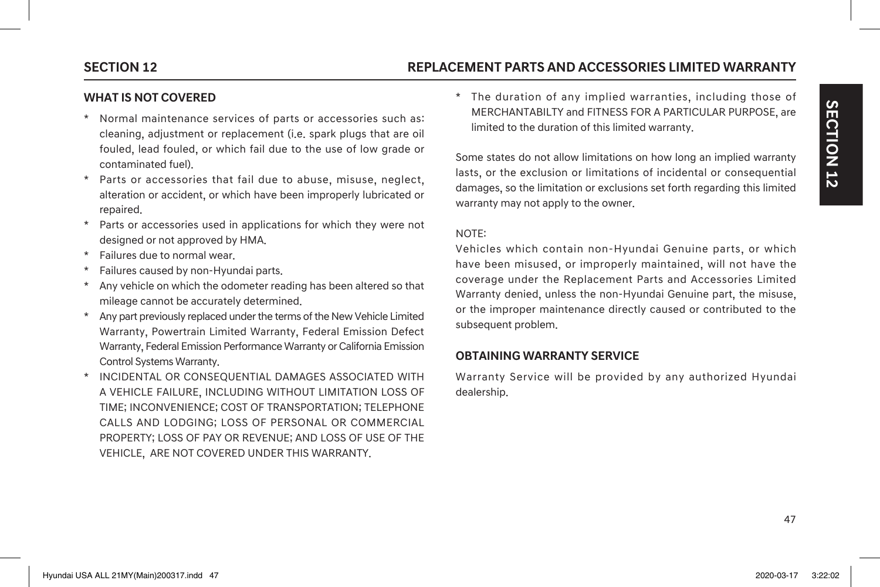# **SECTION 12 REPLACEMENT PARTS AND ACCESSORIES LIMITED WARRANTY**

### **WHAT IS NOT COVERED**

- \* Normal maintenance services of parts or accessories such as: cleaning, adjustment or replacement (i.e. spark plugs that are oil fouled, lead fouled, or which fail due to the use of low grade or contaminated fuel).
- \* Parts or accessories that fail due to abuse, misuse, neglect, alteration or accident, or which have been improperly lubricated or repaired.
- \* Parts or accessories used in applications for which they were not designed or not approved by HMA.
- \* Failures due to normal wear.
- Failures caused by non-Hyundai parts.
- Any vehicle on which the odometer reading has been altered so that mileage cannot be accurately determined.
- Any part previously replaced under the terms of the New Vehicle Limited Warranty, Powertrain Limited Warranty, Federal Emission Defect Warranty, Federal Emission Performance Warranty or California Emission Control Systems Warranty.
- \* INCIDENTAL OR CONSEQUENTIAL DAMAGES ASSOCIATED WITH A VEHICLE FAILURE, INCLUDING WITHOUT LIMITATION LOSS OF TIME; INCONVENIENCE; COST OF TRANSPORTATION; TELEPHONE CALLS AND LODGING; LOSS OF PERSONAL OR COMMERCIAL PROPERTY; LOSS OF PAY OR REVENUE; AND LOSS OF USE OF THE VEHICLE, ARE NOT COVERED UNDER THIS WARRANTY.

\* The duration of any implied warranties, including those of MERCHANTABILTY and FITNESS FOR A PARTICULAR PURPOSE, are limited to the duration of this limited warranty.

Some states do not allow limitations on how long an implied warranty lasts, or the exclusion or limitations of incidental or consequential damages, so the limitation or exclusions set forth regarding this limited warranty may not apply to the owner.

### NOTE:

Vehicles which contain non-Hyundai Genuine parts, or which have been misused, or improperly maintained, will not have the coverage under the Replacement Parts and Accessories Limited Warranty denied, unless the non-Hyundai Genuine part, the misuse, or the improper maintenance directly caused or contributed to the subsequent problem.

### **OBTAINING WARRANTY SERVICE**

Warranty Service will be provided by any authorized Hyundai dealership.